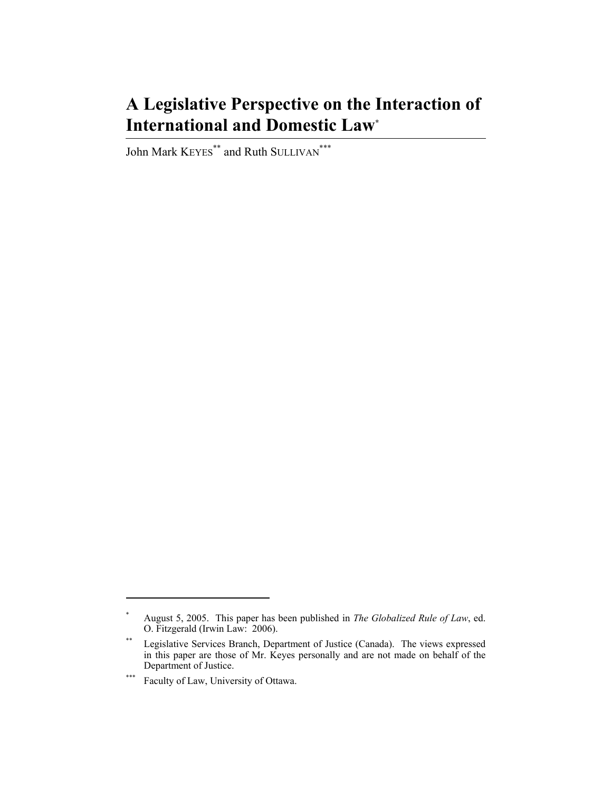# **A Legislative Perspective on the Interaction of International and Domestic Law\***

John Mark KEYES<sup>\*\*</sup> and Ruth SULLIVAN<sup>\*\*\*</sup>

<sup>\*</sup> August 5, 2005. This paper has been published in *The Globalized Rule of Law*, ed. O. Fitzgerald (Irwin Law: 2006).

<sup>\*\*</sup> Legislative Services Branch, Department of Justice (Canada). The views expressed in this paper are those of Mr. Keyes personally and are not made on behalf of the Department of Justice.

<sup>\*\*\*</sup> Faculty of Law, University of Ottawa.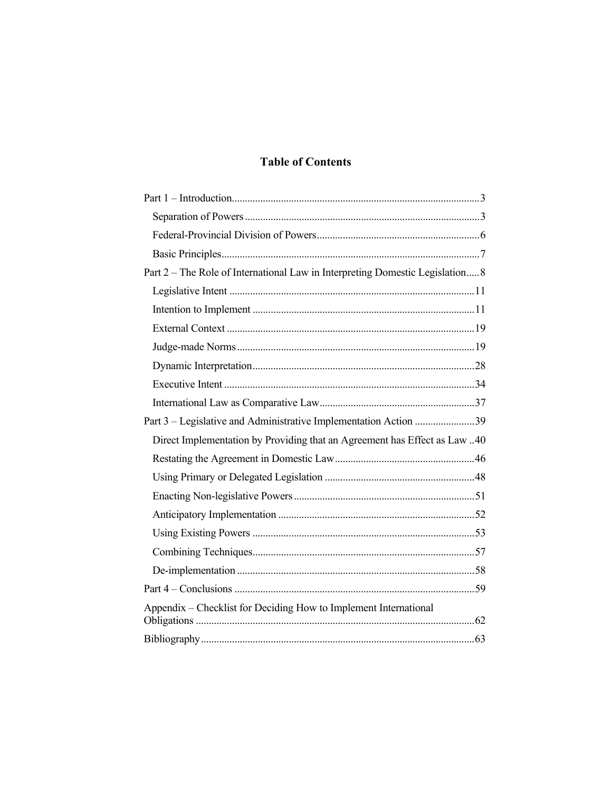# **Table of Contents**

| Part 2 – The Role of International Law in Interpreting Domestic Legislation 8 |  |
|-------------------------------------------------------------------------------|--|
|                                                                               |  |
|                                                                               |  |
|                                                                               |  |
|                                                                               |  |
|                                                                               |  |
|                                                                               |  |
|                                                                               |  |
| Part 3 – Legislative and Administrative Implementation Action 39              |  |
| Direct Implementation by Providing that an Agreement has Effect as Law 40     |  |
|                                                                               |  |
|                                                                               |  |
|                                                                               |  |
|                                                                               |  |
|                                                                               |  |
|                                                                               |  |
|                                                                               |  |
|                                                                               |  |
| Appendix - Checklist for Deciding How to Implement International              |  |
|                                                                               |  |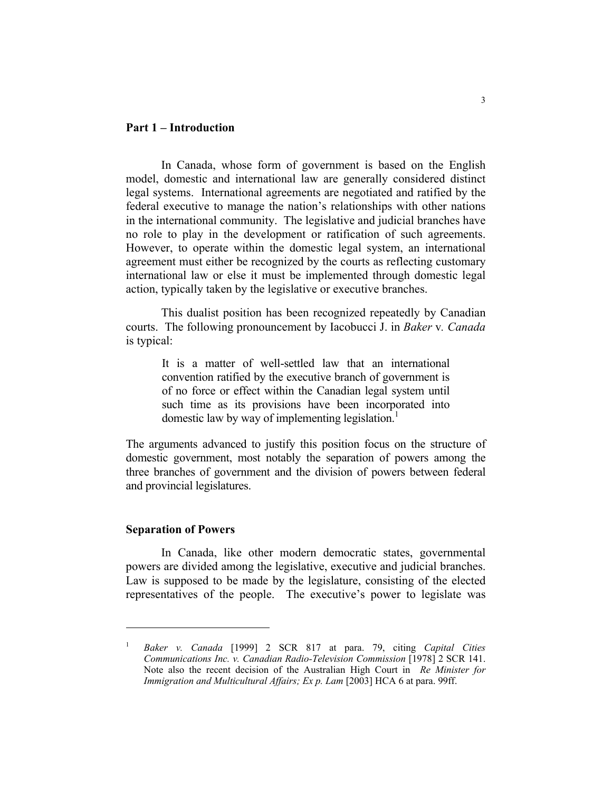### **Part 1 – Introduction**

 In Canada, whose form of government is based on the English model, domestic and international law are generally considered distinct legal systems. International agreements are negotiated and ratified by the federal executive to manage the nation's relationships with other nations in the international community. The legislative and judicial branches have no role to play in the development or ratification of such agreements. However, to operate within the domestic legal system, an international agreement must either be recognized by the courts as reflecting customary international law or else it must be implemented through domestic legal action, typically taken by the legislative or executive branches.

 This dualist position has been recognized repeatedly by Canadian courts. The following pronouncement by Iacobucci J. in *Baker* v*. Canada* is typical:

It is a matter of well-settled law that an international convention ratified by the executive branch of government is of no force or effect within the Canadian legal system until such time as its provisions have been incorporated into domestic law by way of implementing legislation.<sup>1</sup>

The arguments advanced to justify this position focus on the structure of domestic government, most notably the separation of powers among the three branches of government and the division of powers between federal and provincial legislatures.

#### **Separation of Powers**

 In Canada, like other modern democratic states, governmental powers are divided among the legislative, executive and judicial branches. Law is supposed to be made by the legislature, consisting of the elected representatives of the people. The executive's power to legislate was

<sup>1</sup> *Baker v. Canada* [1999] 2 SCR 817 at para. 79, citing *Capital Cities Communications Inc. v. Canadian Radio-Television Commission* [1978] 2 SCR 141. Note also the recent decision of the Australian High Court in *Re Minister for Immigration and Multicultural Affairs; Ex p. Lam* [2003] HCA 6 at para. 99ff.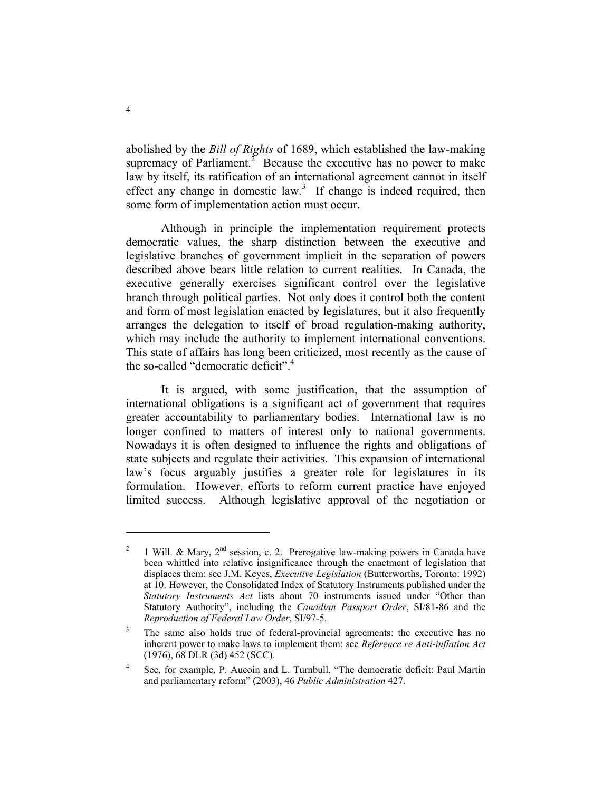abolished by the *Bill of Rights* of 1689, which established the law-making supremacy of Parliament.<sup> $2$ </sup> Because the executive has no power to make law by itself, its ratification of an international agreement cannot in itself effect any change in domestic law.<sup>3</sup> If change is indeed required, then some form of implementation action must occur.

 Although in principle the implementation requirement protects democratic values, the sharp distinction between the executive and legislative branches of government implicit in the separation of powers described above bears little relation to current realities. In Canada, the executive generally exercises significant control over the legislative branch through political parties. Not only does it control both the content and form of most legislation enacted by legislatures, but it also frequently arranges the delegation to itself of broad regulation-making authority, which may include the authority to implement international conventions. This state of affairs has long been criticized, most recently as the cause of the so-called "democratic deficit".<sup>4</sup>

 It is argued, with some justification, that the assumption of international obligations is a significant act of government that requires greater accountability to parliamentary bodies. International law is no longer confined to matters of interest only to national governments. Nowadays it is often designed to influence the rights and obligations of state subjects and regulate their activities. This expansion of international law's focus arguably justifies a greater role for legislatures in its formulation. However, efforts to reform current practice have enjoyed limited success. Although legislative approval of the negotiation or

<sup>2</sup> 1 Will. & Mary,  $2<sup>nd</sup>$  session, c. 2. Prerogative law-making powers in Canada have been whittled into relative insignificance through the enactment of legislation that displaces them: see J.M. Keyes, *Executive Legislation* (Butterworths, Toronto: 1992) at 10. However, the Consolidated Index of Statutory Instruments published under the *Statutory Instruments Act* lists about 70 instruments issued under "Other than Statutory Authority", including the *Canadian Passport Order*, SI/81-86 and the *Reproduction of Federal Law Order*, SI/97-5.

<sup>3</sup> The same also holds true of federal-provincial agreements: the executive has no inherent power to make laws to implement them: see *Reference re Anti-inflation Act* (1976), 68 DLR (3d) 452 (SCC).

<sup>4</sup> See, for example, P. Aucoin and L. Turnbull, "The democratic deficit: Paul Martin and parliamentary reform" (2003), 46 *Public Administration* 427.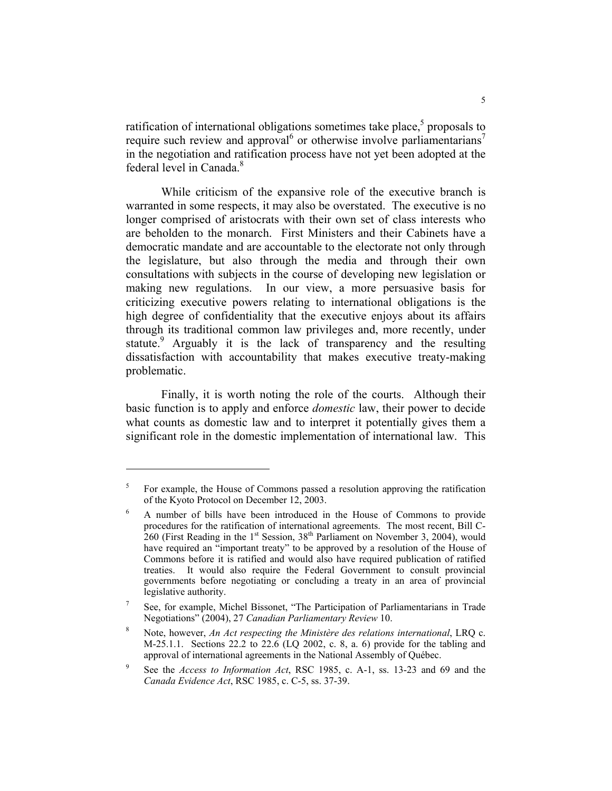ratification of international obligations sometimes take place, $5$  proposals to require such review and approval or otherwise involve parliamentarians<sup>7</sup> in the negotiation and ratification process have not yet been adopted at the federal level in Canada.<sup>8</sup>

 While criticism of the expansive role of the executive branch is warranted in some respects, it may also be overstated. The executive is no longer comprised of aristocrats with their own set of class interests who are beholden to the monarch. First Ministers and their Cabinets have a democratic mandate and are accountable to the electorate not only through the legislature, but also through the media and through their own consultations with subjects in the course of developing new legislation or making new regulations. In our view, a more persuasive basis for criticizing executive powers relating to international obligations is the high degree of confidentiality that the executive enjoys about its affairs through its traditional common law privileges and, more recently, under statute.<sup>9</sup> Arguably it is the lack of transparency and the resulting dissatisfaction with accountability that makes executive treaty-making problematic.

 Finally, it is worth noting the role of the courts. Although their basic function is to apply and enforce *domestic* law, their power to decide what counts as domestic law and to interpret it potentially gives them a significant role in the domestic implementation of international law. This

<sup>5</sup> For example, the House of Commons passed a resolution approving the ratification of the Kyoto Protocol on December 12, 2003.

<sup>6</sup> A number of bills have been introduced in the House of Commons to provide procedures for the ratification of international agreements. The most recent, Bill C- $260$  (First Reading in the 1<sup>st</sup> Session, 38<sup>th</sup> Parliament on November 3, 2004), would have required an "important treaty" to be approved by a resolution of the House of Commons before it is ratified and would also have required publication of ratified treaties. It would also require the Federal Government to consult provincial governments before negotiating or concluding a treaty in an area of provincial legislative authority.

<sup>7</sup> See, for example, Michel Bissonet, "The Participation of Parliamentarians in Trade Negotiations" (2004), 27 *Canadian Parliamentary Review* 10.

<sup>8</sup> Note, however, *An Act respecting the Ministère des relations international*, LRQ c. M-25.1.1. Sections 22.2 to 22.6 (LQ 2002, c. 8, a. 6) provide for the tabling and approval of international agreements in the National Assembly of Québec.

<sup>9</sup> See the *Access to Information Act*, RSC 1985, c. A-1, ss. 13-23 and 69 and the *Canada Evidence Act*, RSC 1985, c. C-5, ss. 37-39.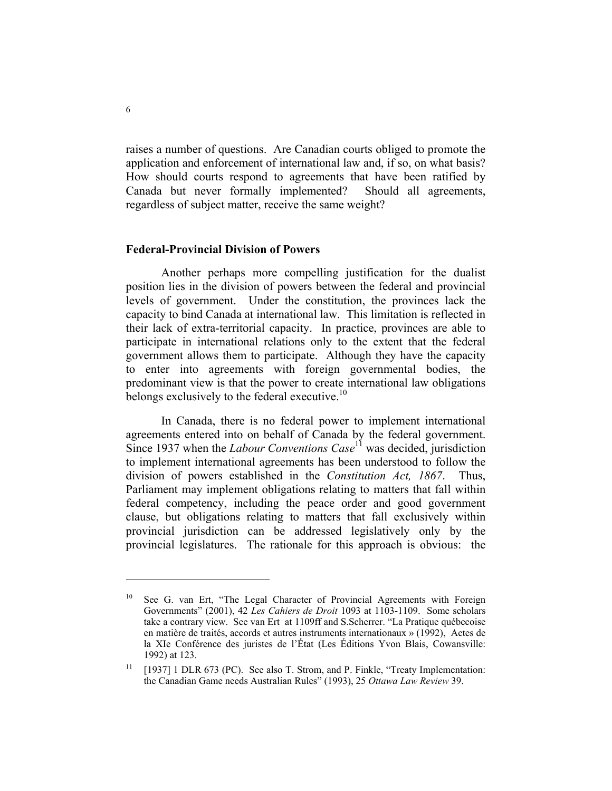raises a number of questions. Are Canadian courts obliged to promote the application and enforcement of international law and, if so, on what basis? How should courts respond to agreements that have been ratified by Canada but never formally implemented? Should all agreements, regardless of subject matter, receive the same weight?

#### **Federal-Provincial Division of Powers**

 Another perhaps more compelling justification for the dualist position lies in the division of powers between the federal and provincial levels of government. Under the constitution, the provinces lack the capacity to bind Canada at international law. This limitation is reflected in their lack of extra-territorial capacity. In practice, provinces are able to participate in international relations only to the extent that the federal government allows them to participate. Although they have the capacity to enter into agreements with foreign governmental bodies, the predominant view is that the power to create international law obligations belongs exclusively to the federal executive.<sup>10</sup>

 In Canada, there is no federal power to implement international agreements entered into on behalf of Canada by the federal government. Since 1937 when the *Labour Conventions Case*<sup>11</sup> was decided, jurisdiction to implement international agreements has been understood to follow the division of powers established in the *Constitution Act, 1867*. Thus, Parliament may implement obligations relating to matters that fall within federal competency, including the peace order and good government clause, but obligations relating to matters that fall exclusively within provincial jurisdiction can be addressed legislatively only by the provincial legislatures. The rationale for this approach is obvious: the

<sup>&</sup>lt;sup>10</sup> See G. van Ert, "The Legal Character of Provincial Agreements with Foreign Governments" (2001), 42 *Les Cahiers de Droit* 1093 at 1103-1109. Some scholars take a contrary view. See van Ert at 1109ff and S.Scherrer. "La Pratique québecoise en matière de traités, accords et autres instruments internationaux » (1992), Actes de la XIe Conférence des juristes de l'État (Les Éditions Yvon Blais, Cowansville: 1992) at 123.

 $11$  [1937] 1 DLR 673 (PC). See also T. Strom, and P. Finkle, "Treaty Implementation: the Canadian Game needs Australian Rules" (1993), 25 *Ottawa Law Review* 39.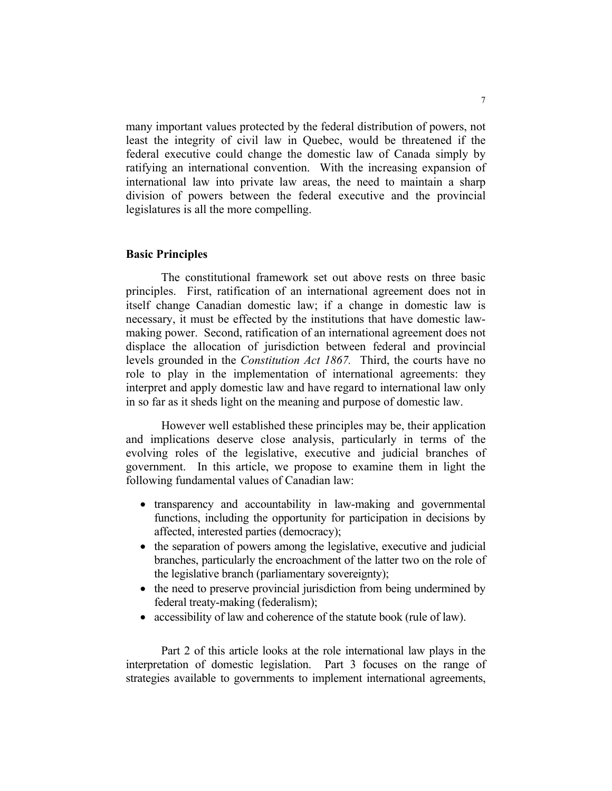many important values protected by the federal distribution of powers, not least the integrity of civil law in Quebec, would be threatened if the federal executive could change the domestic law of Canada simply by ratifying an international convention. With the increasing expansion of international law into private law areas, the need to maintain a sharp division of powers between the federal executive and the provincial legislatures is all the more compelling.

#### **Basic Principles**

 The constitutional framework set out above rests on three basic principles. First, ratification of an international agreement does not in itself change Canadian domestic law; if a change in domestic law is necessary, it must be effected by the institutions that have domestic lawmaking power. Second, ratification of an international agreement does not displace the allocation of jurisdiction between federal and provincial levels grounded in the *Constitution Act 1867.* Third, the courts have no role to play in the implementation of international agreements: they interpret and apply domestic law and have regard to international law only in so far as it sheds light on the meaning and purpose of domestic law.

 However well established these principles may be, their application and implications deserve close analysis, particularly in terms of the evolving roles of the legislative, executive and judicial branches of government. In this article, we propose to examine them in light the following fundamental values of Canadian law:

- transparency and accountability in law-making and governmental functions, including the opportunity for participation in decisions by affected, interested parties (democracy);
- the separation of powers among the legislative, executive and judicial branches, particularly the encroachment of the latter two on the role of the legislative branch (parliamentary sovereignty);
- the need to preserve provincial jurisdiction from being undermined by federal treaty-making (federalism);
- accessibility of law and coherence of the statute book (rule of law).

 Part 2 of this article looks at the role international law plays in the interpretation of domestic legislation. Part 3 focuses on the range of strategies available to governments to implement international agreements,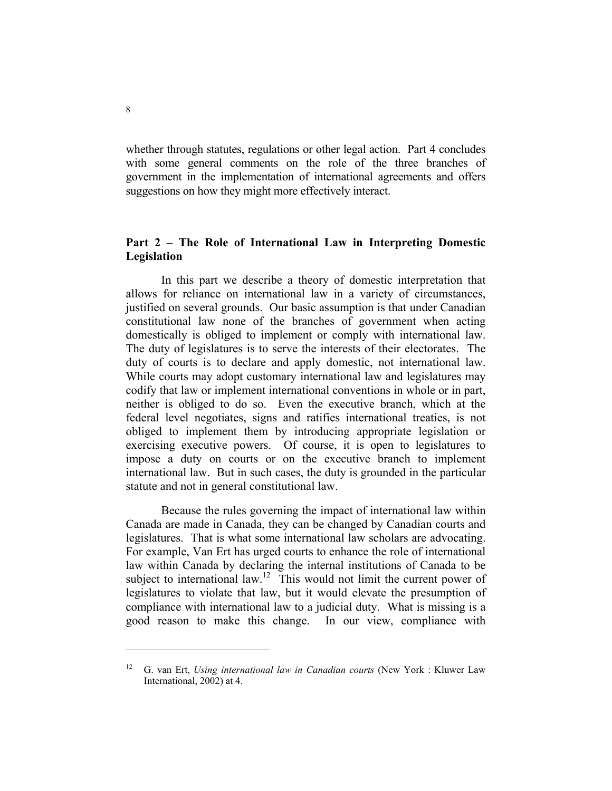whether through statutes, regulations or other legal action. Part 4 concludes with some general comments on the role of the three branches of government in the implementation of international agreements and offers suggestions on how they might more effectively interact.

# **Part 2 – The Role of International Law in Interpreting Domestic Legislation**

 In this part we describe a theory of domestic interpretation that allows for reliance on international law in a variety of circumstances, justified on several grounds. Our basic assumption is that under Canadian constitutional law none of the branches of government when acting domestically is obliged to implement or comply with international law. The duty of legislatures is to serve the interests of their electorates. The duty of courts is to declare and apply domestic, not international law. While courts may adopt customary international law and legislatures may codify that law or implement international conventions in whole or in part, neither is obliged to do so. Even the executive branch, which at the federal level negotiates, signs and ratifies international treaties, is not obliged to implement them by introducing appropriate legislation or exercising executive powers. Of course, it is open to legislatures to impose a duty on courts or on the executive branch to implement international law. But in such cases, the duty is grounded in the particular statute and not in general constitutional law.

 Because the rules governing the impact of international law within Canada are made in Canada, they can be changed by Canadian courts and legislatures. That is what some international law scholars are advocating. For example, Van Ert has urged courts to enhance the role of international law within Canada by declaring the internal institutions of Canada to be subject to international law.<sup>12</sup> This would not limit the current power of legislatures to violate that law, but it would elevate the presumption of compliance with international law to a judicial duty. What is missing is a good reason to make this change. In our view, compliance with

<sup>12</sup> G. van Ert, *Using international law in Canadian courts* (New York : Kluwer Law International, 2002) at 4.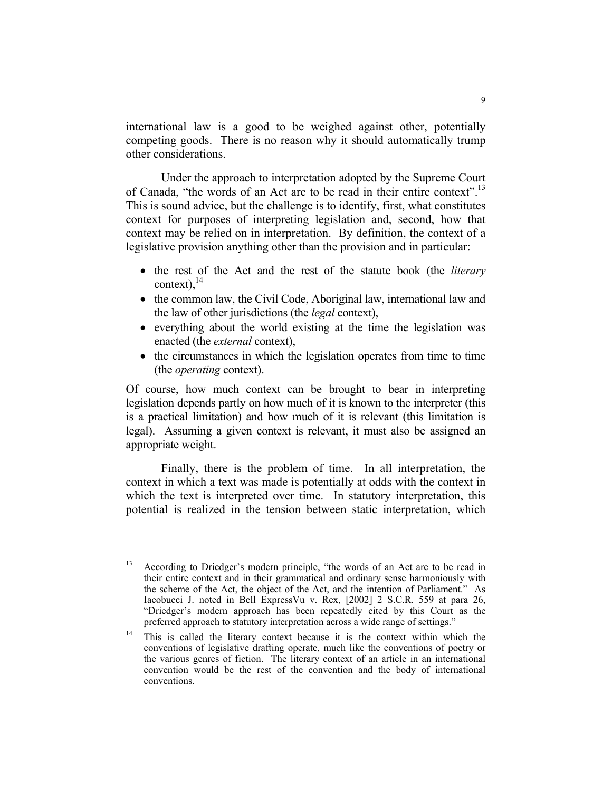international law is a good to be weighed against other, potentially competing goods. There is no reason why it should automatically trump other considerations.

 Under the approach to interpretation adopted by the Supreme Court of Canada, "the words of an Act are to be read in their entire context".<sup>13</sup> This is sound advice, but the challenge is to identify, first, what constitutes context for purposes of interpreting legislation and, second, how that context may be relied on in interpretation. By definition, the context of a legislative provision anything other than the provision and in particular:

- the rest of the Act and the rest of the statute book (the *literary* context),  $^{14}$
- the common law, the Civil Code, Aboriginal law, international law and the law of other jurisdictions (the *legal* context),
- everything about the world existing at the time the legislation was enacted (the *external* context),
- the circumstances in which the legislation operates from time to time (the *operating* context).

Of course, how much context can be brought to bear in interpreting legislation depends partly on how much of it is known to the interpreter (this is a practical limitation) and how much of it is relevant (this limitation is legal). Assuming a given context is relevant, it must also be assigned an appropriate weight.

 Finally, there is the problem of time. In all interpretation, the context in which a text was made is potentially at odds with the context in which the text is interpreted over time. In statutory interpretation, this potential is realized in the tension between static interpretation, which

According to Driedger's modern principle, "the words of an Act are to be read in their entire context and in their grammatical and ordinary sense harmoniously with the scheme of the Act, the object of the Act, and the intention of Parliament." As Iacobucci J. noted in Bell ExpressVu v. Rex, [2002] 2 S.C.R. 559 at para 26, "Driedger's modern approach has been repeatedly cited by this Court as the preferred approach to statutory interpretation across a wide range of settings."

<sup>&</sup>lt;sup>14</sup> This is called the literary context because it is the context within which the conventions of legislative drafting operate, much like the conventions of poetry or the various genres of fiction. The literary context of an article in an international convention would be the rest of the convention and the body of international conventions.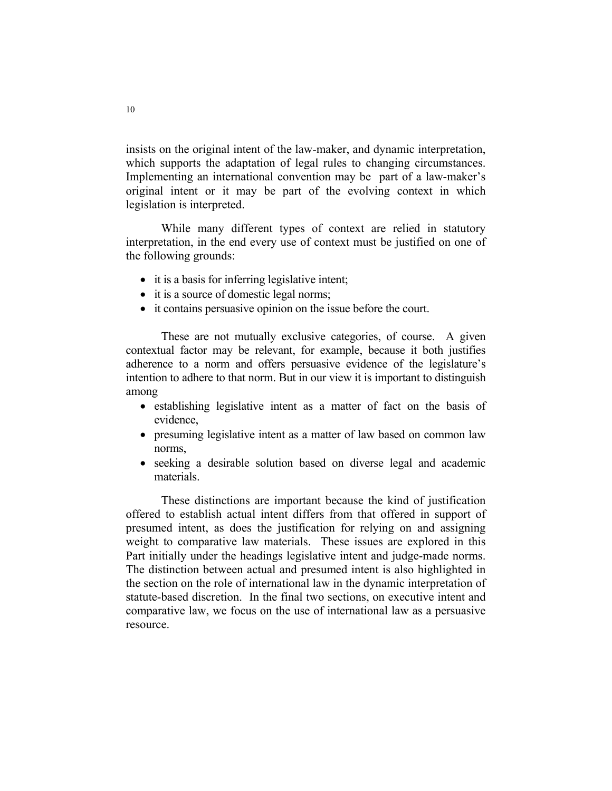insists on the original intent of the law-maker, and dynamic interpretation, which supports the adaptation of legal rules to changing circumstances. Implementing an international convention may be part of a law-maker's original intent or it may be part of the evolving context in which legislation is interpreted.

 While many different types of context are relied in statutory interpretation, in the end every use of context must be justified on one of the following grounds:

- it is a basis for inferring legislative intent;
- it is a source of domestic legal norms;
- it contains persuasive opinion on the issue before the court.

 These are not mutually exclusive categories, of course. A given contextual factor may be relevant, for example, because it both justifies adherence to a norm and offers persuasive evidence of the legislature's intention to adhere to that norm. But in our view it is important to distinguish among

- establishing legislative intent as a matter of fact on the basis of evidence,
- presuming legislative intent as a matter of law based on common law norms,
- seeking a desirable solution based on diverse legal and academic materials.

 These distinctions are important because the kind of justification offered to establish actual intent differs from that offered in support of presumed intent, as does the justification for relying on and assigning weight to comparative law materials. These issues are explored in this Part initially under the headings legislative intent and judge-made norms. The distinction between actual and presumed intent is also highlighted in the section on the role of international law in the dynamic interpretation of statute-based discretion. In the final two sections, on executive intent and comparative law, we focus on the use of international law as a persuasive resource.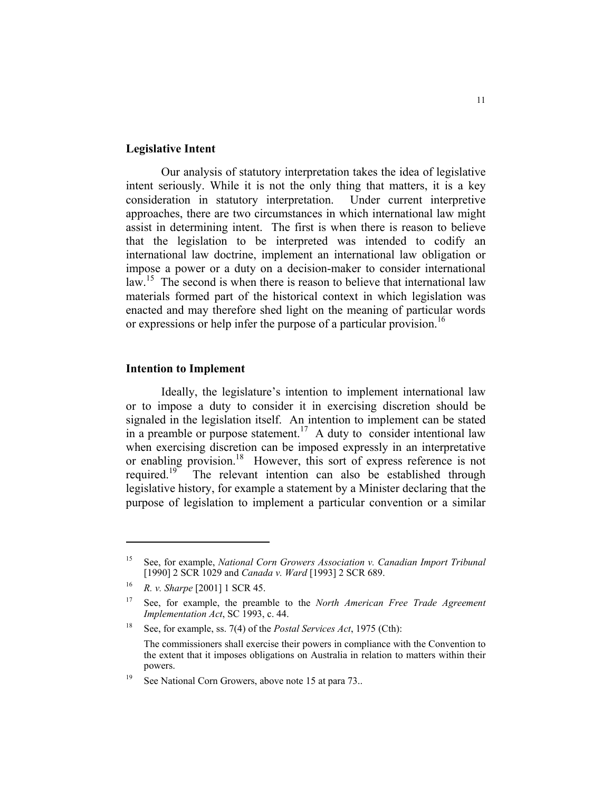#### **Legislative Intent**

 Our analysis of statutory interpretation takes the idea of legislative intent seriously. While it is not the only thing that matters, it is a key consideration in statutory interpretation. Under current interpretive approaches, there are two circumstances in which international law might assist in determining intent. The first is when there is reason to believe that the legislation to be interpreted was intended to codify an international law doctrine, implement an international law obligation or impose a power or a duty on a decision-maker to consider international law.<sup>15</sup> The second is when there is reason to believe that international law materials formed part of the historical context in which legislation was enacted and may therefore shed light on the meaning of particular words or expressions or help infer the purpose of a particular provision.<sup>16</sup>

#### **Intention to Implement**

 Ideally, the legislature's intention to implement international law or to impose a duty to consider it in exercising discretion should be signaled in the legislation itself. An intention to implement can be stated in a preamble or purpose statement.<sup>17</sup> A duty to consider intentional law when exercising discretion can be imposed expressly in an interpretative or enabling provision.18 However, this sort of express reference is not required.<sup>19</sup> The relevant intention can also be established through legislative history, for example a statement by a Minister declaring that the purpose of legislation to implement a particular convention or a similar

<sup>15</sup> See, for example, *National Corn Growers Association v. Canadian Import Tribunal* [1990] 2 SCR 1029 and *Canada v. Ward* [1993] 2 SCR 689.

<sup>16</sup> *R. v. Sharpe* [2001] 1 SCR 45.

<sup>17</sup> See, for example, the preamble to the *North American Free Trade Agreement Implementation Act*, SC 1993, c. 44.

<sup>18</sup> See, for example, ss. 7(4) of the *Postal Services Act*, 1975 (Cth):

The commissioners shall exercise their powers in compliance with the Convention to the extent that it imposes obligations on Australia in relation to matters within their powers.

<sup>&</sup>lt;sup>19</sup> See National Corn Growers, above note 15 at para 73..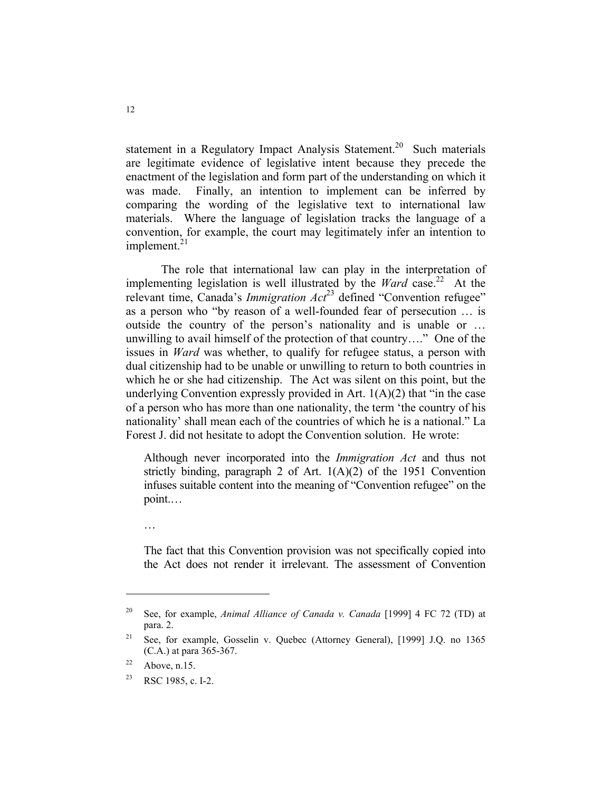statement in a Regulatory Impact Analysis Statement.<sup>20</sup> Such materials are legitimate evidence of legislative intent because they precede the enactment of the legislation and form part of the understanding on which it was made. Finally, an intention to implement can be inferred by comparing the wording of the legislative text to international law materials. Where the language of legislation tracks the language of a convention, for example, the court may legitimately infer an intention to implement. $^{21}$ 

 The role that international law can play in the interpretation of implementing legislation is well illustrated by the *Ward* case.<sup>22</sup> At the relevant time, Canada's *Immigration Act*<sup>23</sup> defined "Convention refugee" as a person who "by reason of a well-founded fear of persecution … is outside the country of the person's nationality and is unable or … unwilling to avail himself of the protection of that country…." One of the issues in *Ward* was whether, to qualify for refugee status, a person with dual citizenship had to be unable or unwilling to return to both countries in which he or she had citizenship. The Act was silent on this point, but the underlying Convention expressly provided in Art.  $1(A)(2)$  that "in the case" of a person who has more than one nationality, the term 'the country of his nationality' shall mean each of the countries of which he is a national." La Forest J. did not hesitate to adopt the Convention solution. He wrote:

Although never incorporated into the *Immigration Act* and thus not strictly binding, paragraph 2 of Art. 1(A)(2) of the 1951 Convention infuses suitable content into the meaning of "Convention refugee" on the point.…

The fact that this Convention provision was not specifically copied into the Act does not render it irrelevant. The assessment of Convention

…

<sup>20</sup> See, for example, *Animal Alliance of Canada v. Canada* [1999] 4 FC 72 (TD) at para. 2.

<sup>&</sup>lt;sup>21</sup> See, for example, Gosselin v. Quebec (Attorney General), [1999] J.Q. no 1365 (C.A.) at para 365-367.

 $22$  Above, n.15.

<sup>&</sup>lt;sup>23</sup> RSC 1985, c. I-2.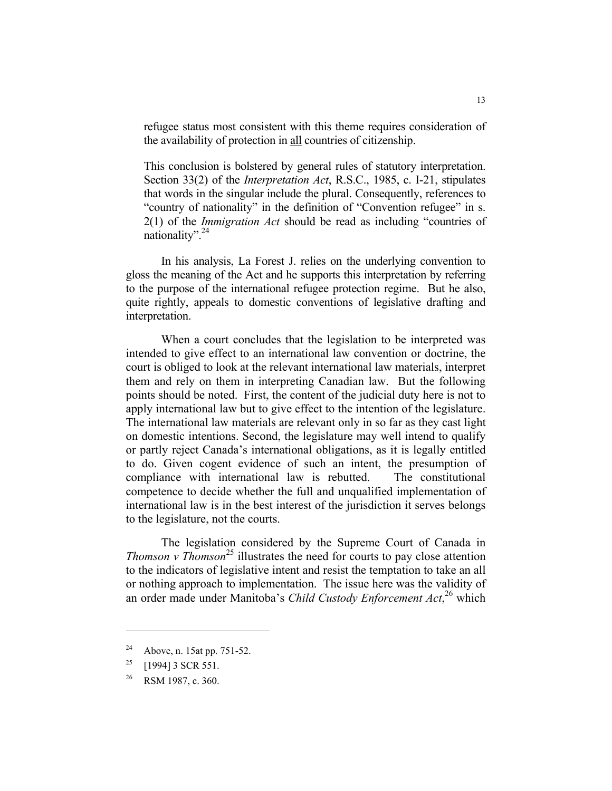refugee status most consistent with this theme requires consideration of the availability of protection in all countries of citizenship.

This conclusion is bolstered by general rules of statutory interpretation. Section 33(2) of the *Interpretation Act*, R.S.C., 1985, c. I-21, stipulates that words in the singular include the plural. Consequently, references to "country of nationality" in the definition of "Convention refugee" in s. 2(1) of the *Immigration Act* should be read as including "countries of nationality". $^{24}$ 

 In his analysis, La Forest J. relies on the underlying convention to gloss the meaning of the Act and he supports this interpretation by referring to the purpose of the international refugee protection regime. But he also, quite rightly, appeals to domestic conventions of legislative drafting and interpretation.

 When a court concludes that the legislation to be interpreted was intended to give effect to an international law convention or doctrine, the court is obliged to look at the relevant international law materials, interpret them and rely on them in interpreting Canadian law. But the following points should be noted. First, the content of the judicial duty here is not to apply international law but to give effect to the intention of the legislature. The international law materials are relevant only in so far as they cast light on domestic intentions. Second, the legislature may well intend to qualify or partly reject Canada's international obligations, as it is legally entitled to do. Given cogent evidence of such an intent, the presumption of compliance with international law is rebutted. The constitutional competence to decide whether the full and unqualified implementation of international law is in the best interest of the jurisdiction it serves belongs to the legislature, not the courts.

 The legislation considered by the Supreme Court of Canada in *Thomson v Thomson*<sup>25</sup> illustrates the need for courts to pay close attention to the indicators of legislative intent and resist the temptation to take an all or nothing approach to implementation. The issue here was the validity of an order made under Manitoba's *Child Custody Enforcement Act*, 26 which

<sup>24</sup> Above, n. 15at pp. 751-52.

<sup>&</sup>lt;sup>25</sup> [1994] 3 SCR 551.

<sup>&</sup>lt;sup>26</sup> RSM 1987, c. 360.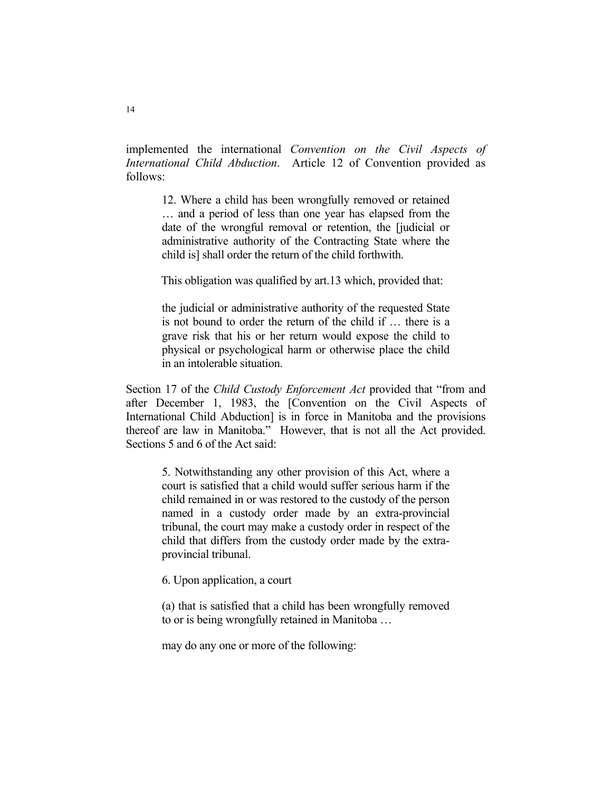implemented the international *Convention on the Civil Aspects of International Child Abduction*. Article 12 of Convention provided as follows:

12. Where a child has been wrongfully removed or retained … and a period of less than one year has elapsed from the date of the wrongful removal or retention, the [judicial or administrative authority of the Contracting State where the child is] shall order the return of the child forthwith.

This obligation was qualified by art.13 which, provided that:

the judicial or administrative authority of the requested State is not bound to order the return of the child if … there is a grave risk that his or her return would expose the child to physical or psychological harm or otherwise place the child in an intolerable situation.

Section 17 of the *Child Custody Enforcement Act* provided that "from and after December 1, 1983, the [Convention on the Civil Aspects of International Child Abduction] is in force in Manitoba and the provisions thereof are law in Manitoba." However, that is not all the Act provided. Sections 5 and 6 of the Act said:

5. Notwithstanding any other provision of this Act, where a court is satisfied that a child would suffer serious harm if the child remained in or was restored to the custody of the person named in a custody order made by an extra-provincial tribunal, the court may make a custody order in respect of the child that differs from the custody order made by the extraprovincial tribunal.

6. Upon application, a court

(a) that is satisfied that a child has been wrongfully removed to or is being wrongfully retained in Manitoba …

may do any one or more of the following: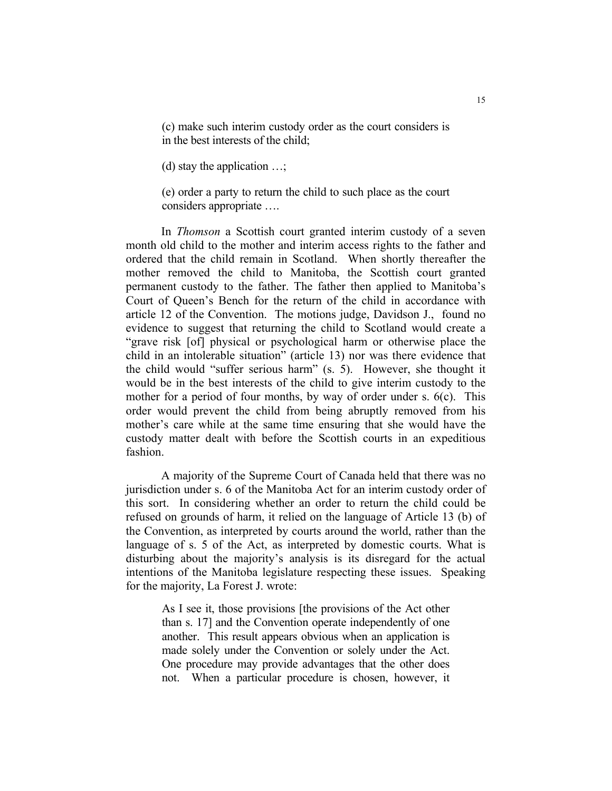(c) make such interim custody order as the court considers is in the best interests of the child;

(d) stay the application …;

(e) order a party to return the child to such place as the court considers appropriate ….

 In *Thomson* a Scottish court granted interim custody of a seven month old child to the mother and interim access rights to the father and ordered that the child remain in Scotland. When shortly thereafter the mother removed the child to Manitoba, the Scottish court granted permanent custody to the father. The father then applied to Manitoba's Court of Queen's Bench for the return of the child in accordance with article 12 of the Convention. The motions judge, Davidson J., found no evidence to suggest that returning the child to Scotland would create a "grave risk [of] physical or psychological harm or otherwise place the child in an intolerable situation" (article 13) nor was there evidence that the child would "suffer serious harm" (s. 5). However, she thought it would be in the best interests of the child to give interim custody to the mother for a period of four months, by way of order under s. 6(c). This order would prevent the child from being abruptly removed from his mother's care while at the same time ensuring that she would have the custody matter dealt with before the Scottish courts in an expeditious fashion.

 A majority of the Supreme Court of Canada held that there was no jurisdiction under s. 6 of the Manitoba Act for an interim custody order of this sort. In considering whether an order to return the child could be refused on grounds of harm, it relied on the language of Article 13 (b) of the Convention, as interpreted by courts around the world, rather than the language of s. 5 of the Act, as interpreted by domestic courts. What is disturbing about the majority's analysis is its disregard for the actual intentions of the Manitoba legislature respecting these issues. Speaking for the majority, La Forest J. wrote:

> As I see it, those provisions [the provisions of the Act other than s. 17] and the Convention operate independently of one another. This result appears obvious when an application is made solely under the Convention or solely under the Act. One procedure may provide advantages that the other does not. When a particular procedure is chosen, however, it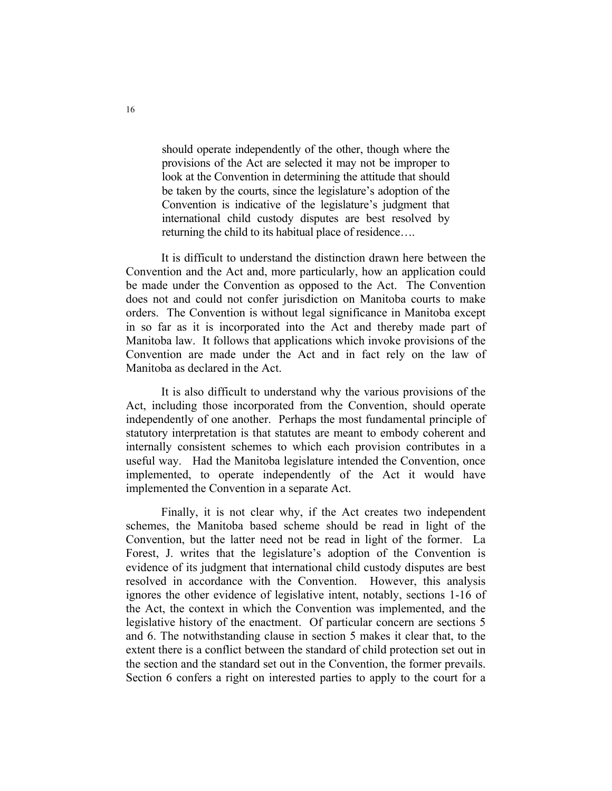should operate independently of the other, though where the provisions of the Act are selected it may not be improper to look at the Convention in determining the attitude that should be taken by the courts, since the legislature's adoption of the Convention is indicative of the legislature's judgment that international child custody disputes are best resolved by returning the child to its habitual place of residence….

 It is difficult to understand the distinction drawn here between the Convention and the Act and, more particularly, how an application could be made under the Convention as opposed to the Act. The Convention does not and could not confer jurisdiction on Manitoba courts to make orders. The Convention is without legal significance in Manitoba except in so far as it is incorporated into the Act and thereby made part of Manitoba law. It follows that applications which invoke provisions of the Convention are made under the Act and in fact rely on the law of Manitoba as declared in the Act.

 It is also difficult to understand why the various provisions of the Act, including those incorporated from the Convention, should operate independently of one another. Perhaps the most fundamental principle of statutory interpretation is that statutes are meant to embody coherent and internally consistent schemes to which each provision contributes in a useful way. Had the Manitoba legislature intended the Convention, once implemented, to operate independently of the Act it would have implemented the Convention in a separate Act.

 Finally, it is not clear why, if the Act creates two independent schemes, the Manitoba based scheme should be read in light of the Convention, but the latter need not be read in light of the former. La Forest, J. writes that the legislature's adoption of the Convention is evidence of its judgment that international child custody disputes are best resolved in accordance with the Convention. However, this analysis ignores the other evidence of legislative intent, notably, sections 1-16 of the Act, the context in which the Convention was implemented, and the legislative history of the enactment. Of particular concern are sections 5 and 6. The notwithstanding clause in section 5 makes it clear that, to the extent there is a conflict between the standard of child protection set out in the section and the standard set out in the Convention, the former prevails. Section 6 confers a right on interested parties to apply to the court for a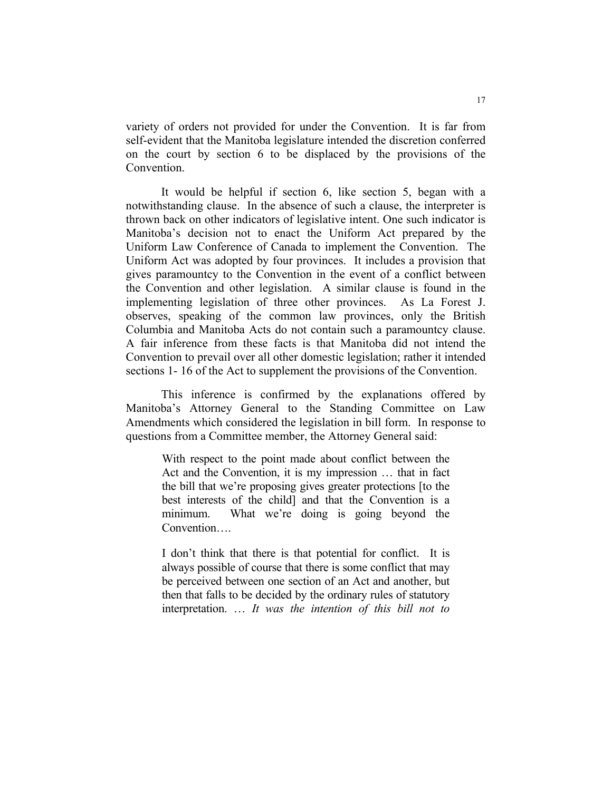variety of orders not provided for under the Convention. It is far from self-evident that the Manitoba legislature intended the discretion conferred on the court by section 6 to be displaced by the provisions of the Convention.

 It would be helpful if section 6, like section 5, began with a notwithstanding clause. In the absence of such a clause, the interpreter is thrown back on other indicators of legislative intent. One such indicator is Manitoba's decision not to enact the Uniform Act prepared by the Uniform Law Conference of Canada to implement the Convention. The Uniform Act was adopted by four provinces. It includes a provision that gives paramountcy to the Convention in the event of a conflict between the Convention and other legislation. A similar clause is found in the implementing legislation of three other provinces. As La Forest J. observes, speaking of the common law provinces, only the British Columbia and Manitoba Acts do not contain such a paramountcy clause. A fair inference from these facts is that Manitoba did not intend the Convention to prevail over all other domestic legislation; rather it intended sections 1- 16 of the Act to supplement the provisions of the Convention.

 This inference is confirmed by the explanations offered by Manitoba's Attorney General to the Standing Committee on Law Amendments which considered the legislation in bill form. In response to questions from a Committee member, the Attorney General said:

With respect to the point made about conflict between the Act and the Convention, it is my impression … that in fact the bill that we're proposing gives greater protections [to the best interests of the child] and that the Convention is a minimum. What we're doing is going beyond the Convention….

I don't think that there is that potential for conflict. It is always possible of course that there is some conflict that may be perceived between one section of an Act and another, but then that falls to be decided by the ordinary rules of statutory interpretation. … *It was the intention of this bill not to*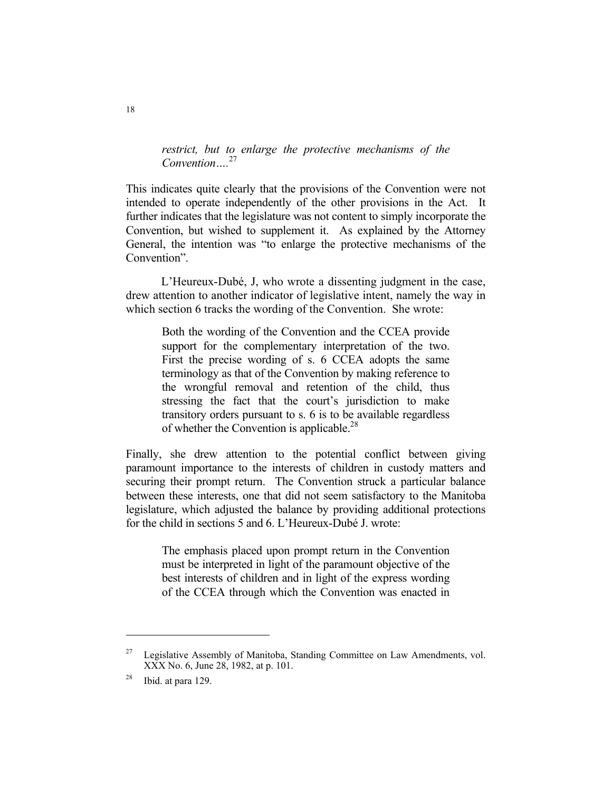*restrict, but to enlarge the protective mechanisms of the Convention….*<sup>27</sup>

This indicates quite clearly that the provisions of the Convention were not intended to operate independently of the other provisions in the Act. It further indicates that the legislature was not content to simply incorporate the Convention, but wished to supplement it. As explained by the Attorney General, the intention was "to enlarge the protective mechanisms of the Convention".

 L'Heureux-Dubé, J, who wrote a dissenting judgment in the case, drew attention to another indicator of legislative intent, namely the way in which section 6 tracks the wording of the Convention. She wrote:

Both the wording of the Convention and the CCEA provide support for the complementary interpretation of the two. First the precise wording of s. 6 CCEA adopts the same terminology as that of the Convention by making reference to the wrongful removal and retention of the child, thus stressing the fact that the court's jurisdiction to make transitory orders pursuant to s. 6 is to be available regardless of whether the Convention is applicable.<sup>28</sup>

Finally, she drew attention to the potential conflict between giving paramount importance to the interests of children in custody matters and securing their prompt return. The Convention struck a particular balance between these interests, one that did not seem satisfactory to the Manitoba legislature, which adjusted the balance by providing additional protections for the child in sections 5 and 6. L'Heureux-Dubé J. wrote:

The emphasis placed upon prompt return in the Convention must be interpreted in light of the paramount objective of the best interests of children and in light of the express wording of the CCEA through which the Convention was enacted in

 $27$  Legislative Assembly of Manitoba, Standing Committee on Law Amendments, vol. XXX No. 6, June 28, 1982, at p. 101.

 $28$  Ibid. at para 129.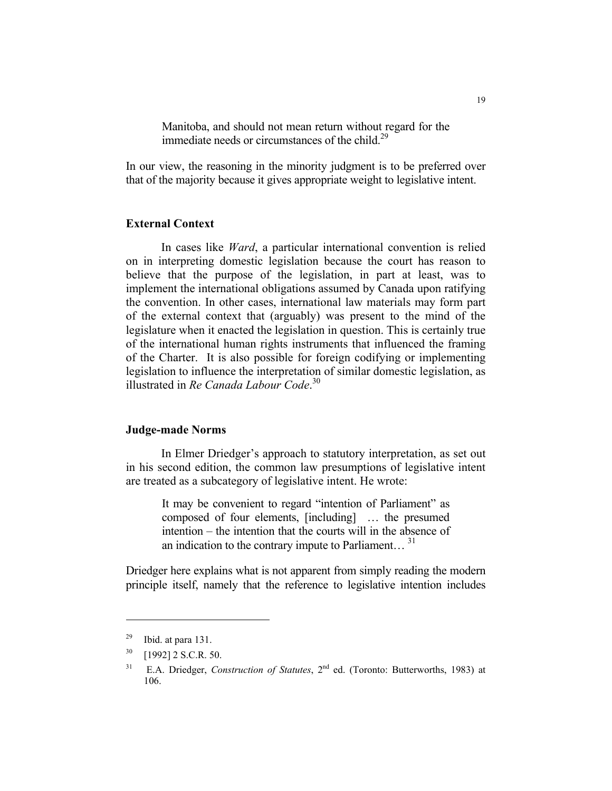Manitoba, and should not mean return without regard for the immediate needs or circumstances of the child.<sup>29</sup>

In our view, the reasoning in the minority judgment is to be preferred over that of the majority because it gives appropriate weight to legislative intent.

#### **External Context**

 In cases like *Ward*, a particular international convention is relied on in interpreting domestic legislation because the court has reason to believe that the purpose of the legislation, in part at least, was to implement the international obligations assumed by Canada upon ratifying the convention. In other cases, international law materials may form part of the external context that (arguably) was present to the mind of the legislature when it enacted the legislation in question. This is certainly true of the international human rights instruments that influenced the framing of the Charter. It is also possible for foreign codifying or implementing legislation to influence the interpretation of similar domestic legislation, as illustrated in *Re Canada Labour Code*. 30

#### **Judge-made Norms**

 In Elmer Driedger's approach to statutory interpretation, as set out in his second edition, the common law presumptions of legislative intent are treated as a subcategory of legislative intent. He wrote:

It may be convenient to regard "intention of Parliament" as composed of four elements, [including] … the presumed intention – the intention that the courts will in the absence of an indication to the contrary impute to Parliament...  $31$ 

Driedger here explains what is not apparent from simply reading the modern principle itself, namely that the reference to legislative intention includes

 $29$  Ibid. at para 131.

<sup>30 [1992] 2</sup> S.C.R. 50.

<sup>&</sup>lt;sup>31</sup> E.A. Driedger, *Construction of Statutes*, 2<sup>nd</sup> ed. (Toronto: Butterworths, 1983) at 106.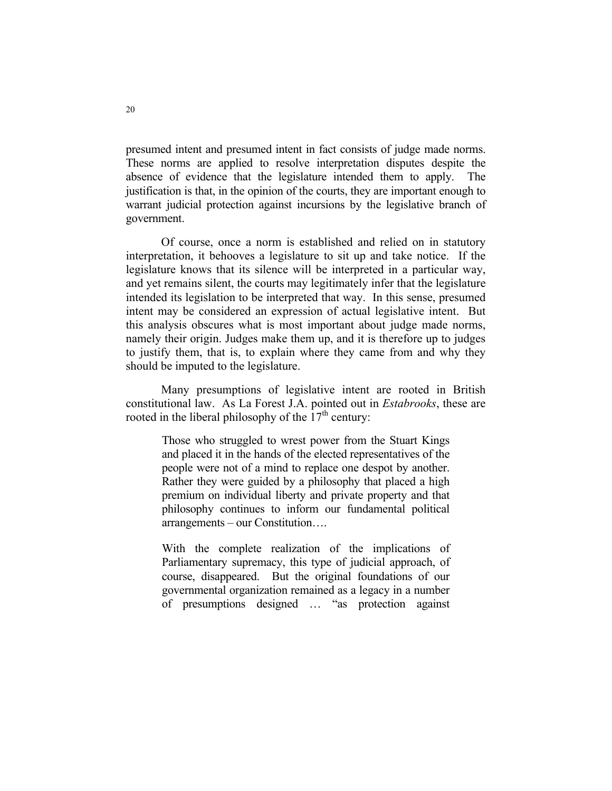presumed intent and presumed intent in fact consists of judge made norms. These norms are applied to resolve interpretation disputes despite the absence of evidence that the legislature intended them to apply. The justification is that, in the opinion of the courts, they are important enough to warrant judicial protection against incursions by the legislative branch of government.

 Of course, once a norm is established and relied on in statutory interpretation, it behooves a legislature to sit up and take notice. If the legislature knows that its silence will be interpreted in a particular way, and yet remains silent, the courts may legitimately infer that the legislature intended its legislation to be interpreted that way. In this sense, presumed intent may be considered an expression of actual legislative intent. But this analysis obscures what is most important about judge made norms, namely their origin. Judges make them up, and it is therefore up to judges to justify them, that is, to explain where they came from and why they should be imputed to the legislature.

 Many presumptions of legislative intent are rooted in British constitutional law. As La Forest J.A. pointed out in *Estabrooks*, these are rooted in the liberal philosophy of the  $17<sup>th</sup>$  century:

Those who struggled to wrest power from the Stuart Kings and placed it in the hands of the elected representatives of the people were not of a mind to replace one despot by another. Rather they were guided by a philosophy that placed a high premium on individual liberty and private property and that philosophy continues to inform our fundamental political arrangements – our Constitution….

With the complete realization of the implications of Parliamentary supremacy, this type of judicial approach, of course, disappeared. But the original foundations of our governmental organization remained as a legacy in a number of presumptions designed … "as protection against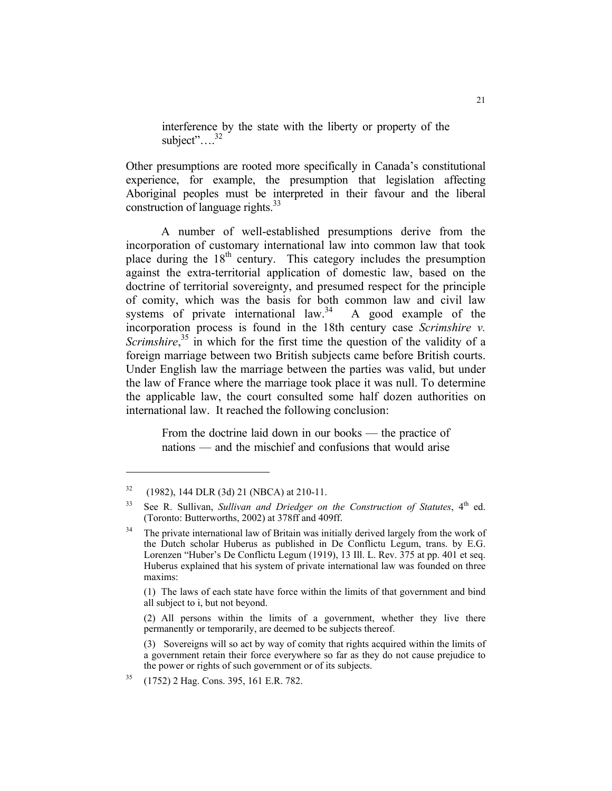interference by the state with the liberty or property of the subject"....<sup>32</sup>

Other presumptions are rooted more specifically in Canada's constitutional experience, for example, the presumption that legislation affecting Aboriginal peoples must be interpreted in their favour and the liberal construction of language rights. $33$ 

 A number of well-established presumptions derive from the incorporation of customary international law into common law that took place during the 18<sup>th</sup> century. This category includes the presumption against the extra-territorial application of domestic law, based on the doctrine of territorial sovereignty, and presumed respect for the principle of comity, which was the basis for both common law and civil law systems of private international law.<sup>34</sup> A good example of the systems of private international law. $34$ incorporation process is found in the 18th century case *Scrimshire v.*  Scrimshire,<sup>35</sup> in which for the first time the question of the validity of a foreign marriage between two British subjects came before British courts. Under English law the marriage between the parties was valid, but under the law of France where the marriage took place it was null. To determine the applicable law, the court consulted some half dozen authorities on international law. It reached the following conclusion:

From the doctrine laid down in our books — the practice of nations — and the mischief and confusions that would arise

 $32$  (1982), 144 DLR (3d) 21 (NBCA) at 210-11.

 $33$  See R. Sullivan, *Sullivan and Driedger on the Construction of Statutes*,  $4<sup>th</sup>$  ed. (Toronto: Butterworths, 2002) at 378ff and 409ff.

<sup>&</sup>lt;sup>34</sup> The private international law of Britain was initially derived largely from the work of the Dutch scholar Huberus as published in De Conflictu Legum, trans. by E.G. Lorenzen "Huber's De Conflictu Legum (1919), 13 Ill. L. Rev. 375 at pp. 401 et seq. Huberus explained that his system of private international law was founded on three maxims:

 <sup>(1)</sup> The laws of each state have force within the limits of that government and bind all subject to i, but not beyond.

 <sup>(2)</sup> All persons within the limits of a government, whether they live there permanently or temporarily, are deemed to be subjects thereof.

 <sup>(3)</sup> Sovereigns will so act by way of comity that rights acquired within the limits of a government retain their force everywhere so far as they do not cause prejudice to the power or rights of such government or of its subjects.

<sup>35 (1752) 2</sup> Hag. Cons. 395, 161 E.R. 782.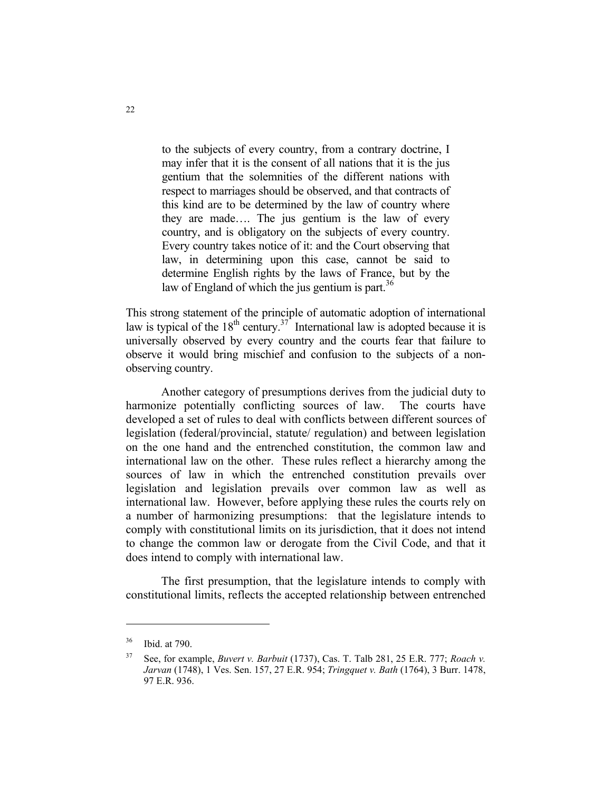to the subjects of every country, from a contrary doctrine, I may infer that it is the consent of all nations that it is the jus gentium that the solemnities of the different nations with respect to marriages should be observed, and that contracts of this kind are to be determined by the law of country where they are made…. The jus gentium is the law of every country, and is obligatory on the subjects of every country. Every country takes notice of it: and the Court observing that law, in determining upon this case, cannot be said to determine English rights by the laws of France, but by the law of England of which the jus gentium is part. $36$ 

This strong statement of the principle of automatic adoption of international law is typical of the  $18^{th}$  century.<sup>37</sup> International law is adopted because it is universally observed by every country and the courts fear that failure to observe it would bring mischief and confusion to the subjects of a nonobserving country.

 Another category of presumptions derives from the judicial duty to harmonize potentially conflicting sources of law. The courts have developed a set of rules to deal with conflicts between different sources of legislation (federal/provincial, statute/ regulation) and between legislation on the one hand and the entrenched constitution, the common law and international law on the other. These rules reflect a hierarchy among the sources of law in which the entrenched constitution prevails over legislation and legislation prevails over common law as well as international law. However, before applying these rules the courts rely on a number of harmonizing presumptions: that the legislature intends to comply with constitutional limits on its jurisdiction, that it does not intend to change the common law or derogate from the Civil Code, and that it does intend to comply with international law.

 The first presumption, that the legislature intends to comply with constitutional limits, reflects the accepted relationship between entrenched

<sup>36</sup> Ibid. at 790.

<sup>37</sup> See, for example, *Buvert v. Barbuit* (1737), Cas. T. Talb 281, 25 E.R. 777; *Roach v. Jarvan* (1748), 1 Ves. Sen. 157, 27 E.R. 954; *Tringquet v. Bath* (1764), 3 Burr. 1478, 97 E.R. 936.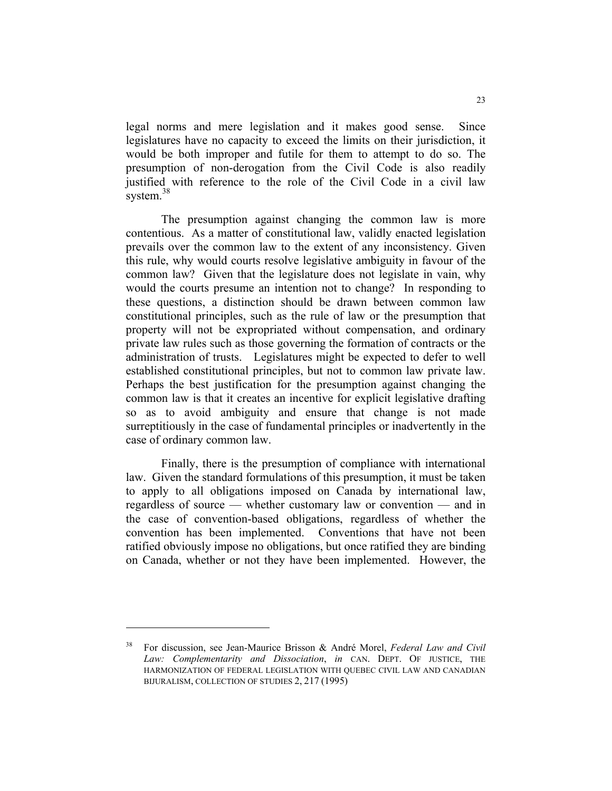legal norms and mere legislation and it makes good sense. Since legislatures have no capacity to exceed the limits on their jurisdiction, it would be both improper and futile for them to attempt to do so. The presumption of non-derogation from the Civil Code is also readily justified with reference to the role of the Civil Code in a civil law system.<sup>38</sup>

 The presumption against changing the common law is more contentious. As a matter of constitutional law, validly enacted legislation prevails over the common law to the extent of any inconsistency. Given this rule, why would courts resolve legislative ambiguity in favour of the common law? Given that the legislature does not legislate in vain, why would the courts presume an intention not to change? In responding to these questions, a distinction should be drawn between common law constitutional principles, such as the rule of law or the presumption that property will not be expropriated without compensation, and ordinary private law rules such as those governing the formation of contracts or the administration of trusts. Legislatures might be expected to defer to well established constitutional principles, but not to common law private law. Perhaps the best justification for the presumption against changing the common law is that it creates an incentive for explicit legislative drafting so as to avoid ambiguity and ensure that change is not made surreptitiously in the case of fundamental principles or inadvertently in the case of ordinary common law.

 Finally, there is the presumption of compliance with international law. Given the standard formulations of this presumption, it must be taken to apply to all obligations imposed on Canada by international law, regardless of source — whether customary law or convention — and in the case of convention-based obligations, regardless of whether the convention has been implemented. Conventions that have not been ratified obviously impose no obligations, but once ratified they are binding on Canada, whether or not they have been implemented. However, the

<sup>38</sup> For discussion, see Jean-Maurice Brisson & André Morel, *Federal Law and Civil Law: Complementarity and Dissociation*, *in* CAN. DEPT. OF JUSTICE, THE HARMONIZATION OF FEDERAL LEGISLATION WITH QUEBEC CIVIL LAW AND CANADIAN BIJURALISM, COLLECTION OF STUDIES 2, 217 (1995)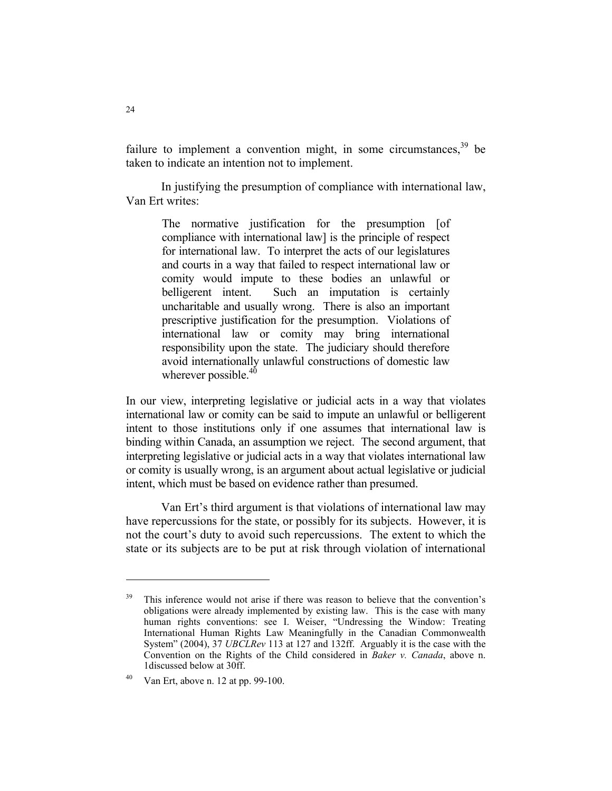failure to implement a convention might, in some circumstances,  $39$  be taken to indicate an intention not to implement.

 In justifying the presumption of compliance with international law, Van Ert writes:

The normative justification for the presumption [of compliance with international law] is the principle of respect for international law. To interpret the acts of our legislatures and courts in a way that failed to respect international law or comity would impute to these bodies an unlawful or belligerent intent. Such an imputation is certainly uncharitable and usually wrong. There is also an important prescriptive justification for the presumption. Violations of international law or comity may bring international responsibility upon the state. The judiciary should therefore avoid internationally unlawful constructions of domestic law wherever possible.<sup>40</sup>

In our view, interpreting legislative or judicial acts in a way that violates international law or comity can be said to impute an unlawful or belligerent intent to those institutions only if one assumes that international law is binding within Canada, an assumption we reject. The second argument, that interpreting legislative or judicial acts in a way that violates international law or comity is usually wrong, is an argument about actual legislative or judicial intent, which must be based on evidence rather than presumed.

 Van Ert's third argument is that violations of international law may have repercussions for the state, or possibly for its subjects. However, it is not the court's duty to avoid such repercussions. The extent to which the state or its subjects are to be put at risk through violation of international

<sup>&</sup>lt;sup>39</sup> This inference would not arise if there was reason to believe that the convention's obligations were already implemented by existing law. This is the case with many human rights conventions: see I. Weiser, "Undressing the Window: Treating International Human Rights Law Meaningfully in the Canadian Commonwealth System" (2004), 37 *UBCLRev* 113 at 127 and 132ff. Arguably it is the case with the Convention on the Rights of the Child considered in *Baker v. Canada*, above n. 1discussed below at 30ff.

<sup>40</sup> Van Ert, above n. 12 at pp. 99-100.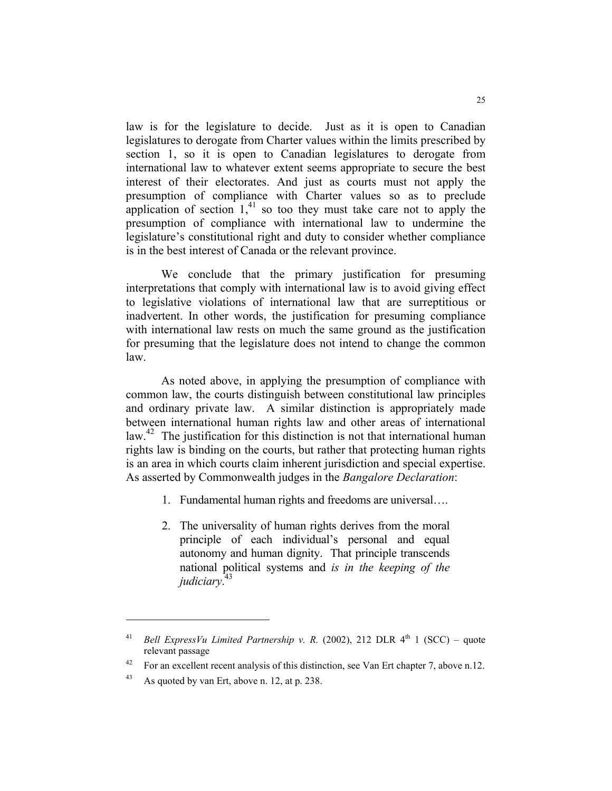law is for the legislature to decide. Just as it is open to Canadian legislatures to derogate from Charter values within the limits prescribed by section 1, so it is open to Canadian legislatures to derogate from international law to whatever extent seems appropriate to secure the best interest of their electorates. And just as courts must not apply the presumption of compliance with Charter values so as to preclude application of section  $1<sup>41</sup>$  so too they must take care not to apply the presumption of compliance with international law to undermine the legislature's constitutional right and duty to consider whether compliance is in the best interest of Canada or the relevant province.

 We conclude that the primary justification for presuming interpretations that comply with international law is to avoid giving effect to legislative violations of international law that are surreptitious or inadvertent. In other words, the justification for presuming compliance with international law rests on much the same ground as the justification for presuming that the legislature does not intend to change the common law.

 As noted above, in applying the presumption of compliance with common law, the courts distinguish between constitutional law principles and ordinary private law. A similar distinction is appropriately made between international human rights law and other areas of international law.<sup>42</sup> The justification for this distinction is not that international human rights law is binding on the courts, but rather that protecting human rights is an area in which courts claim inherent jurisdiction and special expertise. As asserted by Commonwealth judges in the *Bangalore Declaration*:

- 1. Fundamental human rights and freedoms are universal….
- 2. The universality of human rights derives from the moral principle of each individual's personal and equal autonomy and human dignity. That principle transcends national political systems and *is in the keeping of the judiciary*. 43

<sup>&</sup>lt;sup>41</sup> *Bell ExpressVu Limited Partnership v. R.* (2002), 212 DLR  $4<sup>th</sup>$  1 (SCC) – quote relevant passage

<sup>&</sup>lt;sup>42</sup> For an excellent recent analysis of this distinction, see Van Ert chapter 7, above n.12.

<sup>43</sup> As quoted by van Ert, above n. 12, at p. 238.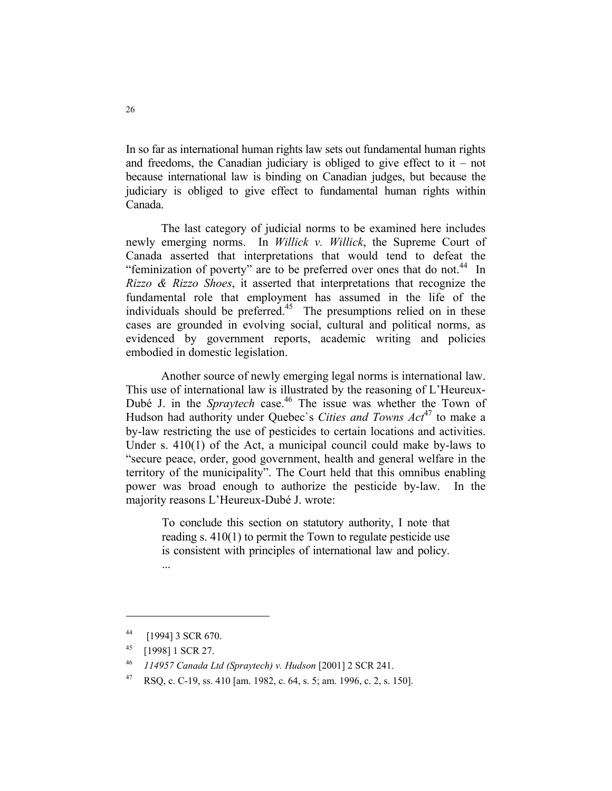In so far as international human rights law sets out fundamental human rights and freedoms, the Canadian judiciary is obliged to give effect to it – not because international law is binding on Canadian judges, but because the judiciary is obliged to give effect to fundamental human rights within Canada.

 The last category of judicial norms to be examined here includes newly emerging norms. In *Willick v. Willick*, the Supreme Court of Canada asserted that interpretations that would tend to defeat the "feminization of poverty" are to be preferred over ones that do not.<sup>44</sup> In *Rizzo & Rizzo Shoes*, it asserted that interpretations that recognize the fundamental role that employment has assumed in the life of the individuals should be preferred.<sup>45</sup> The presumptions relied on in these cases are grounded in evolving social, cultural and political norms, as evidenced by government reports, academic writing and policies embodied in domestic legislation.

 Another source of newly emerging legal norms is international law. This use of international law is illustrated by the reasoning of L'Heureux-Dubé J. in the *Spraytech* case.<sup>46</sup> The issue was whether the Town of Hudson had authority under Quebec's *Cities and Towns Act*<sup>47</sup> to make a by-law restricting the use of pesticides to certain locations and activities. Under s. 410(1) of the Act, a municipal council could make by-laws to "secure peace, order, good government, health and general welfare in the territory of the municipality". The Court held that this omnibus enabling power was broad enough to authorize the pesticide by-law. In the majority reasons L'Heureux-Dubé J. wrote:

To conclude this section on statutory authority, I note that reading s. 410(1) to permit the Town to regulate pesticide use is consistent with principles of international law and policy. ...

<sup>44 [1994] 3</sup> SCR 670.

<sup>45 [1998] 1</sup> SCR 27.

<sup>46</sup> *114957 Canada Ltd (Spraytech) v. Hudson* [2001] 2 SCR 241.

<sup>47</sup> RSQ, c. C-19, ss. 410 [am. 1982, c. 64, s. 5; am. 1996, c. 2, s. 150].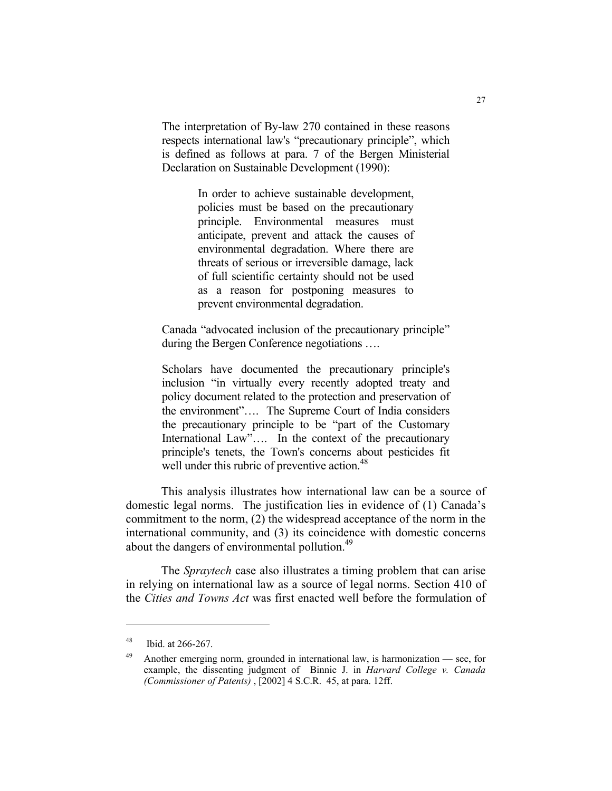The interpretation of By-law 270 contained in these reasons respects international law's "precautionary principle", which is defined as follows at para. 7 of the Bergen Ministerial Declaration on Sustainable Development (1990):

> In order to achieve sustainable development, policies must be based on the precautionary principle. Environmental measures must anticipate, prevent and attack the causes of environmental degradation. Where there are threats of serious or irreversible damage, lack of full scientific certainty should not be used as a reason for postponing measures to prevent environmental degradation.

Canada "advocated inclusion of the precautionary principle" during the Bergen Conference negotiations ….

Scholars have documented the precautionary principle's inclusion "in virtually every recently adopted treaty and policy document related to the protection and preservation of the environment"…. The Supreme Court of India considers the precautionary principle to be "part of the Customary International Law".... In the context of the precautionary principle's tenets, the Town's concerns about pesticides fit well under this rubric of preventive action.<sup>48</sup>

 This analysis illustrates how international law can be a source of domestic legal norms. The justification lies in evidence of (1) Canada's commitment to the norm, (2) the widespread acceptance of the norm in the international community, and (3) its coincidence with domestic concerns about the dangers of environmental pollution.<sup>49</sup>

 The *Spraytech* case also illustrates a timing problem that can arise in relying on international law as a source of legal norms. Section 410 of the *Cities and Towns Act* was first enacted well before the formulation of

<sup>48</sup> Ibid. at 266-267.

<sup>49</sup> Another emerging norm, grounded in international law, is harmonization — see, for example, the dissenting judgment of Binnie J. in *Harvard College v. Canada (Commissioner of Patents)* , [2002] 4 S.C.R. 45, at para. 12ff.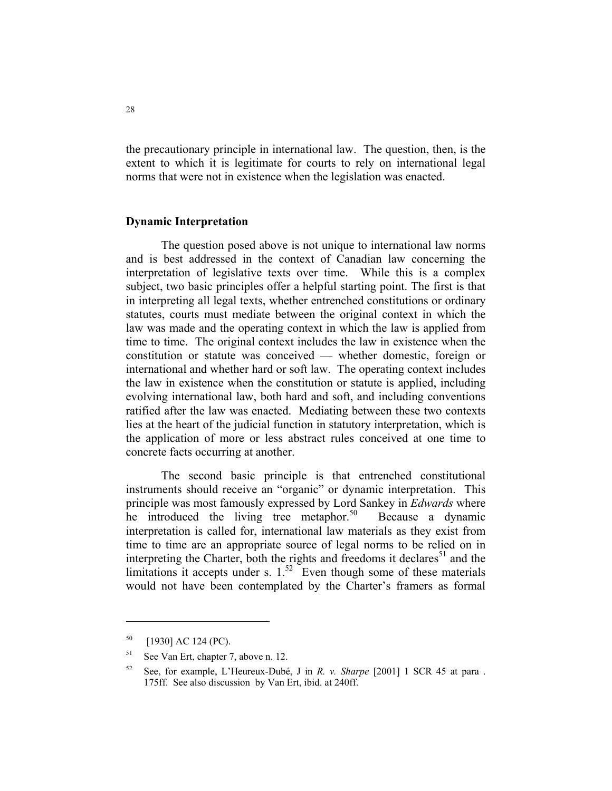the precautionary principle in international law. The question, then, is the extent to which it is legitimate for courts to rely on international legal norms that were not in existence when the legislation was enacted.

#### **Dynamic Interpretation**

 The question posed above is not unique to international law norms and is best addressed in the context of Canadian law concerning the interpretation of legislative texts over time. While this is a complex subject, two basic principles offer a helpful starting point. The first is that in interpreting all legal texts, whether entrenched constitutions or ordinary statutes, courts must mediate between the original context in which the law was made and the operating context in which the law is applied from time to time. The original context includes the law in existence when the constitution or statute was conceived — whether domestic, foreign or international and whether hard or soft law. The operating context includes the law in existence when the constitution or statute is applied, including evolving international law, both hard and soft, and including conventions ratified after the law was enacted. Mediating between these two contexts lies at the heart of the judicial function in statutory interpretation, which is the application of more or less abstract rules conceived at one time to concrete facts occurring at another.

 The second basic principle is that entrenched constitutional instruments should receive an "organic" or dynamic interpretation. This principle was most famously expressed by Lord Sankey in *Edwards* where he introduced the living tree metaphor.<sup>50</sup> Because a dynamic interpretation is called for, international law materials as they exist from time to time are an appropriate source of legal norms to be relied on in interpreting the Charter, both the rights and freedoms it declares<sup>51</sup> and the limitations it accepts under s.  $1^{52}$  Even though some of these materials would not have been contemplated by the Charter's framers as formal

 $50$  [1930] AC 124 (PC).

<sup>51</sup> See Van Ert, chapter 7, above n. 12.

<sup>52</sup> See, for example, L'Heureux-Dubé, J in *R. v. Sharpe* [2001] 1 SCR 45 at para . 175ff. See also discussion by Van Ert, ibid. at 240ff.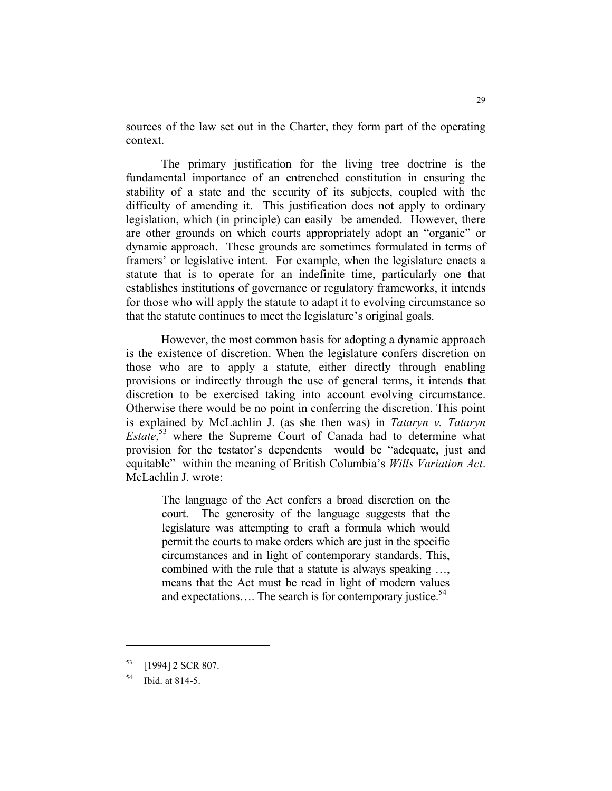sources of the law set out in the Charter, they form part of the operating context.

 The primary justification for the living tree doctrine is the fundamental importance of an entrenched constitution in ensuring the stability of a state and the security of its subjects, coupled with the difficulty of amending it. This justification does not apply to ordinary legislation, which (in principle) can easily be amended. However, there are other grounds on which courts appropriately adopt an "organic" or dynamic approach. These grounds are sometimes formulated in terms of framers' or legislative intent. For example, when the legislature enacts a statute that is to operate for an indefinite time, particularly one that establishes institutions of governance or regulatory frameworks, it intends for those who will apply the statute to adapt it to evolving circumstance so that the statute continues to meet the legislature's original goals.

 However, the most common basis for adopting a dynamic approach is the existence of discretion. When the legislature confers discretion on those who are to apply a statute, either directly through enabling provisions or indirectly through the use of general terms, it intends that discretion to be exercised taking into account evolving circumstance. Otherwise there would be no point in conferring the discretion. This point is explained by McLachlin J. (as she then was) in *Tataryn v. Tataryn Estate*, 53 where the Supreme Court of Canada had to determine what provision for the testator's dependents would be "adequate, just and equitable" within the meaning of British Columbia's *Wills Variation Act*. McLachlin J. wrote:

The language of the Act confers a broad discretion on the court. The generosity of the language suggests that the legislature was attempting to craft a formula which would permit the courts to make orders which are just in the specific circumstances and in light of contemporary standards. This, combined with the rule that a statute is always speaking …, means that the Act must be read in light of modern values and expectations.... The search is for contemporary justice.<sup>54</sup>

<sup>53 [1994] 2</sup> SCR 807.

<sup>54</sup> Ibid. at 814-5.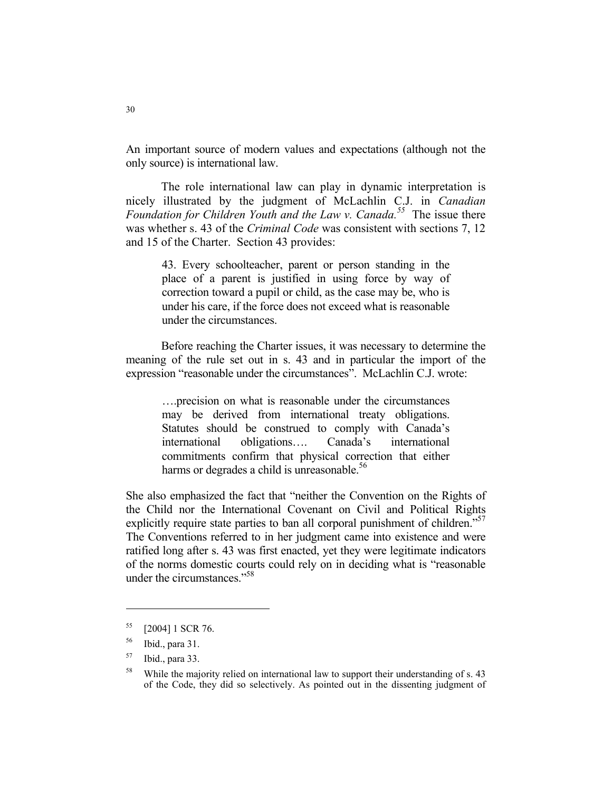An important source of modern values and expectations (although not the only source) is international law.

 The role international law can play in dynamic interpretation is nicely illustrated by the judgment of McLachlin C.J. in *Canadian Foundation for Children Youth and the Law v. Canada.<sup>55</sup>* The issue there was whether s. 43 of the *Criminal Code* was consistent with sections 7, 12 and 15 of the Charter. Section 43 provides:

43. Every schoolteacher, parent or person standing in the place of a parent is justified in using force by way of correction toward a pupil or child, as the case may be, who is under his care, if the force does not exceed what is reasonable under the circumstances.

 Before reaching the Charter issues, it was necessary to determine the meaning of the rule set out in s. 43 and in particular the import of the expression "reasonable under the circumstances". McLachlin C.J. wrote:

….precision on what is reasonable under the circumstances may be derived from international treaty obligations. Statutes should be construed to comply with Canada's international obligations…. Canada's international commitments confirm that physical correction that either harms or degrades a child is unreasonable.<sup>56</sup>

She also emphasized the fact that "neither the Convention on the Rights of the Child nor the International Covenant on Civil and Political Rights explicitly require state parties to ban all corporal punishment of children."<sup>57</sup> The Conventions referred to in her judgment came into existence and were ratified long after s. 43 was first enacted, yet they were legitimate indicators of the norms domestic courts could rely on in deciding what is "reasonable under the circumstances  $^{558}$ 

<sup>55 [2004] 1</sup> SCR 76.

<sup>56</sup> Ibid., para 31.

<sup>57</sup> Ibid., para 33.

<sup>&</sup>lt;sup>58</sup> While the majority relied on international law to support their understanding of s. 43 of the Code, they did so selectively. As pointed out in the dissenting judgment of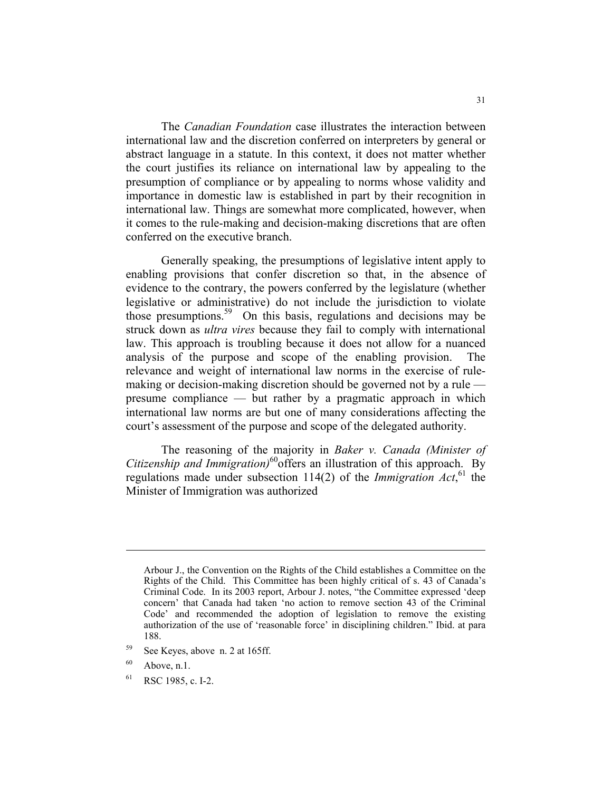The *Canadian Foundation* case illustrates the interaction between international law and the discretion conferred on interpreters by general or abstract language in a statute. In this context, it does not matter whether the court justifies its reliance on international law by appealing to the presumption of compliance or by appealing to norms whose validity and importance in domestic law is established in part by their recognition in international law. Things are somewhat more complicated, however, when it comes to the rule-making and decision-making discretions that are often conferred on the executive branch.

 Generally speaking, the presumptions of legislative intent apply to enabling provisions that confer discretion so that, in the absence of evidence to the contrary, the powers conferred by the legislature (whether legislative or administrative) do not include the jurisdiction to violate those presumptions.59 On this basis, regulations and decisions may be struck down as *ultra vires* because they fail to comply with international law. This approach is troubling because it does not allow for a nuanced analysis of the purpose and scope of the enabling provision. The relevance and weight of international law norms in the exercise of rulemaking or decision-making discretion should be governed not by a rule presume compliance — but rather by a pragmatic approach in which international law norms are but one of many considerations affecting the court's assessment of the purpose and scope of the delegated authority.

 The reasoning of the majority in *Baker v. Canada (Minister of Citizenship and Immigration)*60offers an illustration of this approach. By regulations made under subsection 114(2) of the *Immigration Act*, 61 the Minister of Immigration was authorized

- 59 See Keyes, above n. 2 at 165ff.
- $60$  Above, n.1.

61 RSC 1985, c. I-2.

Arbour J., the Convention on the Rights of the Child establishes a Committee on the Rights of the Child. This Committee has been highly critical of s. 43 of Canada's Criminal Code. In its 2003 report, Arbour J. notes, "the Committee expressed 'deep concern' that Canada had taken 'no action to remove section 43 of the Criminal Code' and recommended the adoption of legislation to remove the existing authorization of the use of 'reasonable force' in disciplining children." Ibid. at para 188.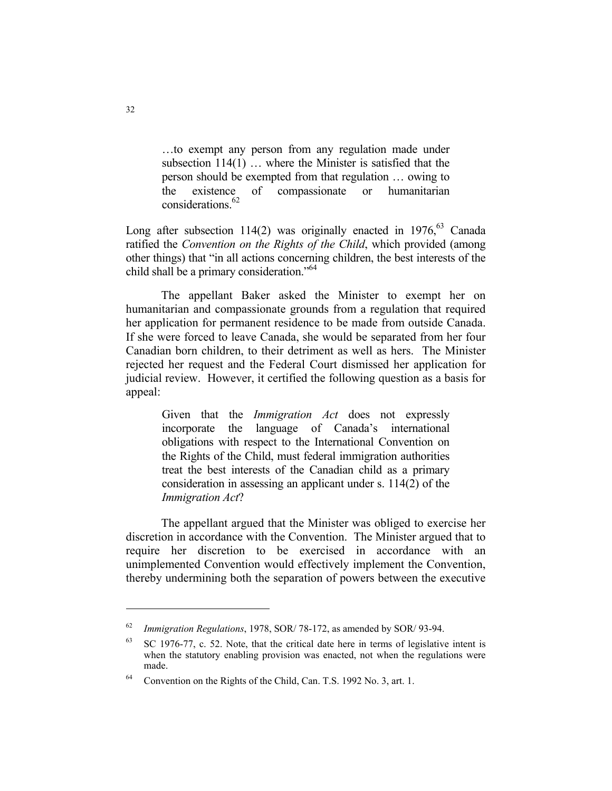…to exempt any person from any regulation made under subsection 114(1) … where the Minister is satisfied that the person should be exempted from that regulation … owing to the existence of compassionate or humanitarian considerations.<sup>62</sup>

Long after subsection 114(2) was originally enacted in 1976,  $63$  Canada ratified the *Convention on the Rights of the Child*, which provided (among other things) that "in all actions concerning children, the best interests of the child shall be a primary consideration."<sup>64</sup>

 The appellant Baker asked the Minister to exempt her on humanitarian and compassionate grounds from a regulation that required her application for permanent residence to be made from outside Canada. If she were forced to leave Canada, she would be separated from her four Canadian born children, to their detriment as well as hers. The Minister rejected her request and the Federal Court dismissed her application for judicial review. However, it certified the following question as a basis for appeal:

> Given that the *Immigration Act* does not expressly incorporate the language of Canada's international obligations with respect to the International Convention on the Rights of the Child, must federal immigration authorities treat the best interests of the Canadian child as a primary consideration in assessing an applicant under s. 114(2) of the *Immigration Act*?

 The appellant argued that the Minister was obliged to exercise her discretion in accordance with the Convention. The Minister argued that to require her discretion to be exercised in accordance with an unimplemented Convention would effectively implement the Convention, thereby undermining both the separation of powers between the executive

<sup>62</sup> *Immigration Regulations*, 1978, SOR/ 78-172, as amended by SOR/ 93-94.

 $63$  SC 1976-77, c. 52. Note, that the critical date here in terms of legislative intent is when the statutory enabling provision was enacted, not when the regulations were made.

<sup>64</sup> Convention on the Rights of the Child, Can. T.S. 1992 No. 3, art. 1.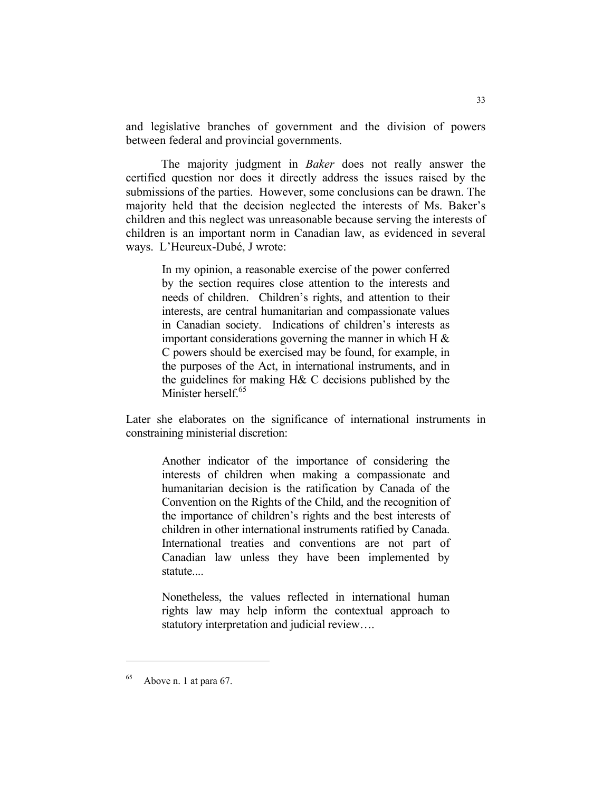and legislative branches of government and the division of powers between federal and provincial governments.

 The majority judgment in *Baker* does not really answer the certified question nor does it directly address the issues raised by the submissions of the parties. However, some conclusions can be drawn. The majority held that the decision neglected the interests of Ms. Baker's children and this neglect was unreasonable because serving the interests of children is an important norm in Canadian law, as evidenced in several ways. L'Heureux-Dubé, J wrote:

In my opinion, a reasonable exercise of the power conferred by the section requires close attention to the interests and needs of children. Children's rights, and attention to their interests, are central humanitarian and compassionate values in Canadian society. Indications of children's interests as important considerations governing the manner in which H  $\&$ C powers should be exercised may be found, for example, in the purposes of the Act, in international instruments, and in the guidelines for making H& C decisions published by the Minister herself.<sup>65</sup>

Later she elaborates on the significance of international instruments in constraining ministerial discretion:

Another indicator of the importance of considering the interests of children when making a compassionate and humanitarian decision is the ratification by Canada of the Convention on the Rights of the Child, and the recognition of the importance of children's rights and the best interests of children in other international instruments ratified by Canada. International treaties and conventions are not part of Canadian law unless they have been implemented by statute....

Nonetheless, the values reflected in international human rights law may help inform the contextual approach to statutory interpretation and judicial review….

 $65$  Above n. 1 at para 67.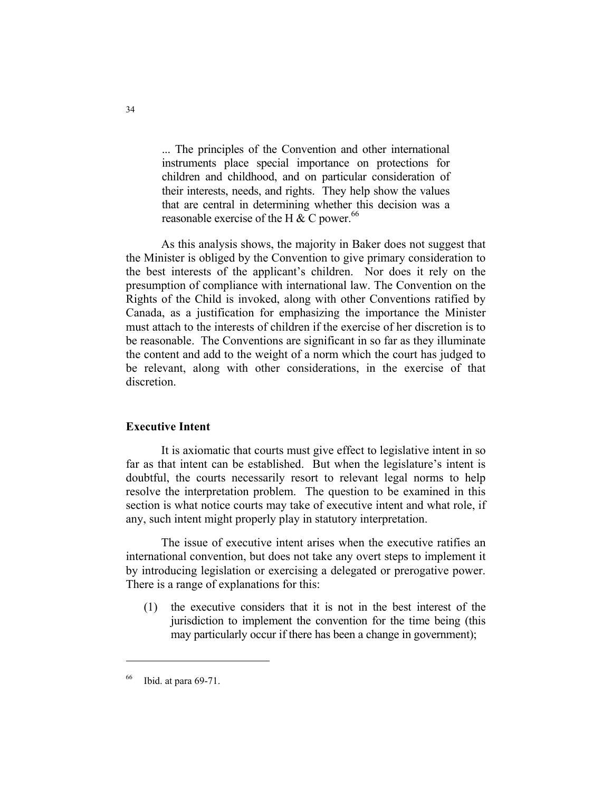... The principles of the Convention and other international instruments place special importance on protections for children and childhood, and on particular consideration of their interests, needs, and rights. They help show the values that are central in determining whether this decision was a reasonable exercise of the H  $\&$  C power.<sup>66</sup>

 As this analysis shows, the majority in Baker does not suggest that the Minister is obliged by the Convention to give primary consideration to the best interests of the applicant's children. Nor does it rely on the presumption of compliance with international law. The Convention on the Rights of the Child is invoked, along with other Conventions ratified by Canada, as a justification for emphasizing the importance the Minister must attach to the interests of children if the exercise of her discretion is to be reasonable. The Conventions are significant in so far as they illuminate the content and add to the weight of a norm which the court has judged to be relevant, along with other considerations, in the exercise of that discretion.

# **Executive Intent**

 It is axiomatic that courts must give effect to legislative intent in so far as that intent can be established. But when the legislature's intent is doubtful, the courts necessarily resort to relevant legal norms to help resolve the interpretation problem. The question to be examined in this section is what notice courts may take of executive intent and what role, if any, such intent might properly play in statutory interpretation.

 The issue of executive intent arises when the executive ratifies an international convention, but does not take any overt steps to implement it by introducing legislation or exercising a delegated or prerogative power. There is a range of explanations for this:

(1) the executive considers that it is not in the best interest of the jurisdiction to implement the convention for the time being (this may particularly occur if there has been a change in government);

Ibid. at para 69-71.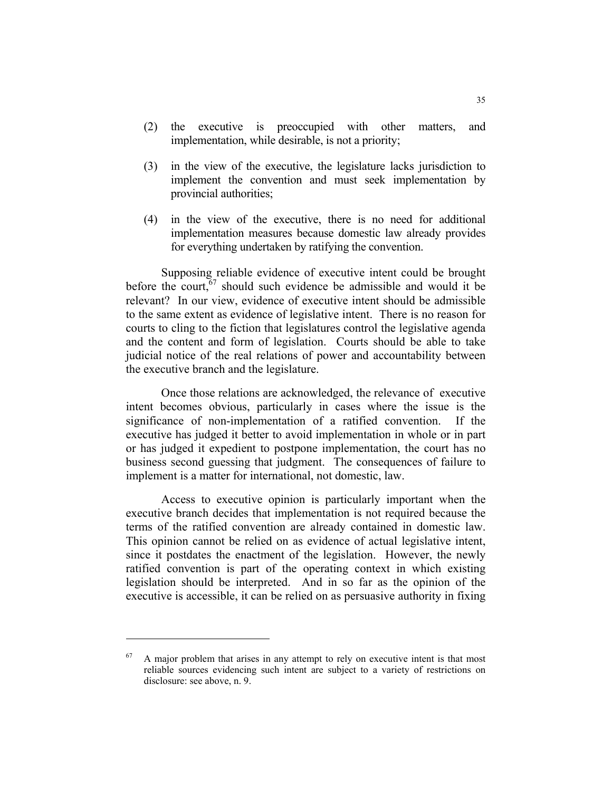- (2) the executive is preoccupied with other matters, and implementation, while desirable, is not a priority;
- (3) in the view of the executive, the legislature lacks jurisdiction to implement the convention and must seek implementation by provincial authorities;
- (4) in the view of the executive, there is no need for additional implementation measures because domestic law already provides for everything undertaken by ratifying the convention.

 Supposing reliable evidence of executive intent could be brought before the court,  $67$  should such evidence be admissible and would it be relevant? In our view, evidence of executive intent should be admissible to the same extent as evidence of legislative intent. There is no reason for courts to cling to the fiction that legislatures control the legislative agenda and the content and form of legislation. Courts should be able to take judicial notice of the real relations of power and accountability between the executive branch and the legislature.

 Once those relations are acknowledged, the relevance of executive intent becomes obvious, particularly in cases where the issue is the significance of non-implementation of a ratified convention. If the executive has judged it better to avoid implementation in whole or in part or has judged it expedient to postpone implementation, the court has no business second guessing that judgment. The consequences of failure to implement is a matter for international, not domestic, law.

 Access to executive opinion is particularly important when the executive branch decides that implementation is not required because the terms of the ratified convention are already contained in domestic law. This opinion cannot be relied on as evidence of actual legislative intent, since it postdates the enactment of the legislation. However, the newly ratified convention is part of the operating context in which existing legislation should be interpreted. And in so far as the opinion of the executive is accessible, it can be relied on as persuasive authority in fixing

 $67$  A major problem that arises in any attempt to rely on executive intent is that most reliable sources evidencing such intent are subject to a variety of restrictions on disclosure: see above, n. 9.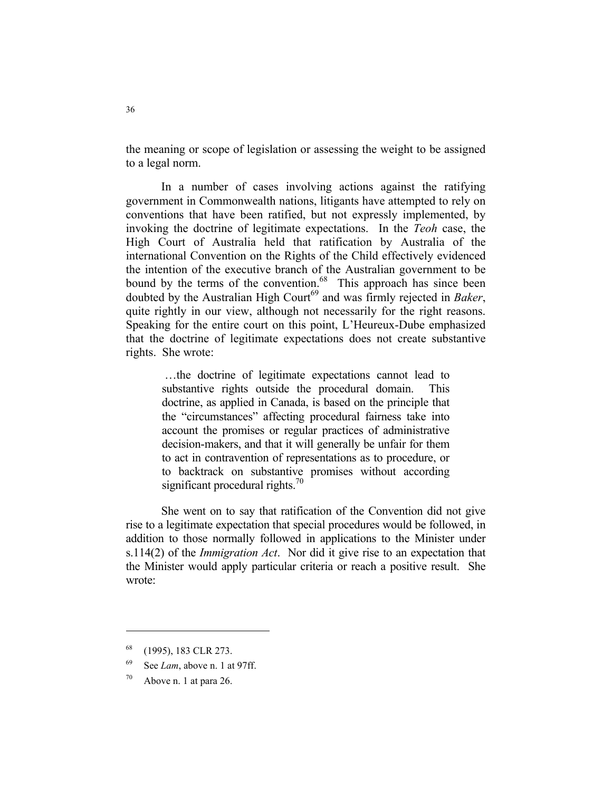the meaning or scope of legislation or assessing the weight to be assigned to a legal norm.

 In a number of cases involving actions against the ratifying government in Commonwealth nations, litigants have attempted to rely on conventions that have been ratified, but not expressly implemented, by invoking the doctrine of legitimate expectations. In the *Teoh* case, the High Court of Australia held that ratification by Australia of the international Convention on the Rights of the Child effectively evidenced the intention of the executive branch of the Australian government to be bound by the terms of the convention.<sup>68</sup> This approach has since been doubted by the Australian High Court<sup>69</sup> and was firmly rejected in *Baker*, quite rightly in our view, although not necessarily for the right reasons. Speaking for the entire court on this point, L'Heureux-Dube emphasized that the doctrine of legitimate expectations does not create substantive rights. She wrote:

 …the doctrine of legitimate expectations cannot lead to substantive rights outside the procedural domain. This doctrine, as applied in Canada, is based on the principle that the "circumstances" affecting procedural fairness take into account the promises or regular practices of administrative decision-makers, and that it will generally be unfair for them to act in contravention of representations as to procedure, or to backtrack on substantive promises without according significant procedural rights.<sup>70</sup>

 She went on to say that ratification of the Convention did not give rise to a legitimate expectation that special procedures would be followed, in addition to those normally followed in applications to the Minister under s.114(2) of the *Immigration Act*. Nor did it give rise to an expectation that the Minister would apply particular criteria or reach a positive result. She wrote:

<sup>68 (1995), 183</sup> CLR 273.

<sup>69</sup> See *Lam*, above n. 1 at 97ff.

 $70$  Above n. 1 at para 26.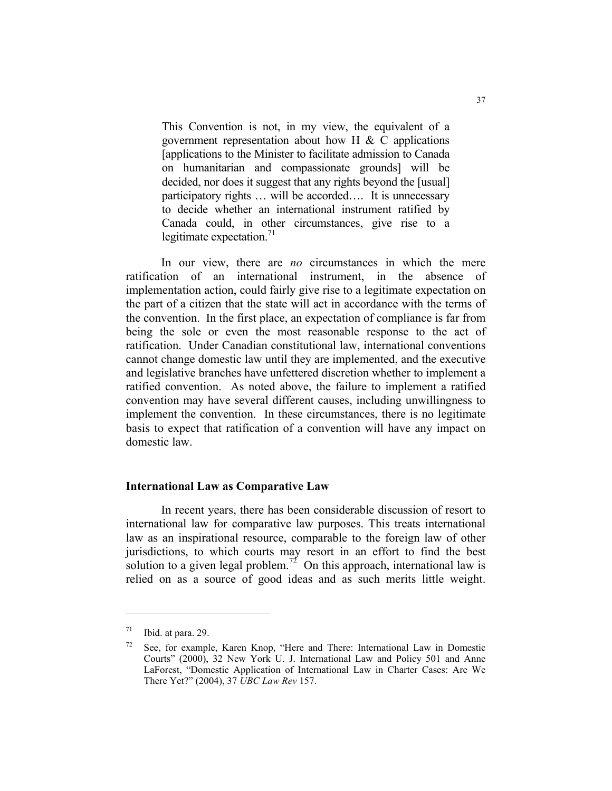This Convention is not, in my view, the equivalent of a government representation about how H  $\&$  C applications [applications to the Minister to facilitate admission to Canada on humanitarian and compassionate grounds] will be decided, nor does it suggest that any rights beyond the [usual] participatory rights … will be accorded…. It is unnecessary to decide whether an international instrument ratified by Canada could, in other circumstances, give rise to a legitimate expectation. $^{71}$ 

 In our view, there are *no* circumstances in which the mere ratification of an international instrument, in the absence of implementation action, could fairly give rise to a legitimate expectation on the part of a citizen that the state will act in accordance with the terms of the convention. In the first place, an expectation of compliance is far from being the sole or even the most reasonable response to the act of ratification. Under Canadian constitutional law, international conventions cannot change domestic law until they are implemented, and the executive and legislative branches have unfettered discretion whether to implement a ratified convention. As noted above, the failure to implement a ratified convention may have several different causes, including unwillingness to implement the convention. In these circumstances, there is no legitimate basis to expect that ratification of a convention will have any impact on domestic law.

#### **International Law as Comparative Law**

 In recent years, there has been considerable discussion of resort to international law for comparative law purposes. This treats international law as an inspirational resource, comparable to the foreign law of other jurisdictions, to which courts may resort in an effort to find the best solution to a given legal problem.<sup>72</sup> On this approach, international law is relied on as a source of good ideas and as such merits little weight.

 $71$  Ibid. at para. 29.

 $72$  See, for example, Karen Knop, "Here and There: International Law in Domestic Courts" (2000), 32 New York U. J. International Law and Policy 501 and Anne LaForest, "Domestic Application of International Law in Charter Cases: Are We There Yet?" (2004), 37 *UBC Law Rev* 157.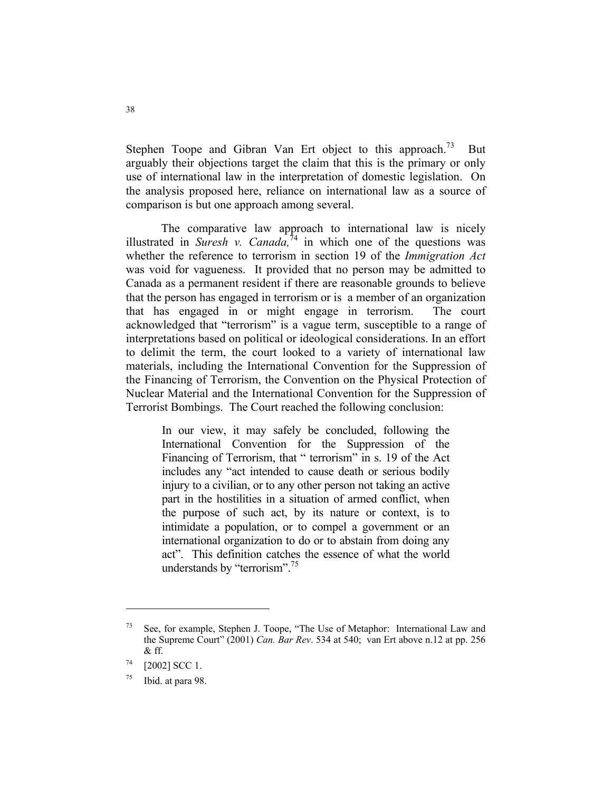Stephen Toope and Gibran Van Ert object to this approach.<sup>73</sup> But arguably their objections target the claim that this is the primary or only use of international law in the interpretation of domestic legislation. On the analysis proposed here, reliance on international law as a source of comparison is but one approach among several.

 The comparative law approach to international law is nicely illustrated in *Suresh v. Canada*,<sup> $74$ </sup> in which one of the questions was whether the reference to terrorism in section 19 of the *Immigration Act* was void for vagueness. It provided that no person may be admitted to Canada as a permanent resident if there are reasonable grounds to believe that the person has engaged in terrorism or is a member of an organization that has engaged in or might engage in terrorism. The court acknowledged that "terrorism" is a vague term, susceptible to a range of interpretations based on political or ideological considerations. In an effort to delimit the term, the court looked to a variety of international law materials, including the International Convention for the Suppression of the Financing of Terrorism, the Convention on the Physical Protection of Nuclear Material and the International Convention for the Suppression of Terrorist Bombings. The Court reached the following conclusion:

In our view, it may safely be concluded, following the International Convention for the Suppression of the Financing of Terrorism, that " terrorism" in s. 19 of the Act includes any "act intended to cause death or serious bodily injury to a civilian, or to any other person not taking an active part in the hostilities in a situation of armed conflict, when the purpose of such act, by its nature or context, is to intimidate a population, or to compel a government or an international organization to do or to abstain from doing any act". This definition catches the essence of what the world understands by "terrorism".<sup>75</sup>

 $73$  See, for example, Stephen J. Toope, "The Use of Metaphor: International Law and the Supreme Court" (2001) *Can. Bar Rev*. 534 at 540; van Ert above n.12 at pp. 256 & ff.

 $74$  [2002] SCC 1.

 $75$  Ibid. at para 98.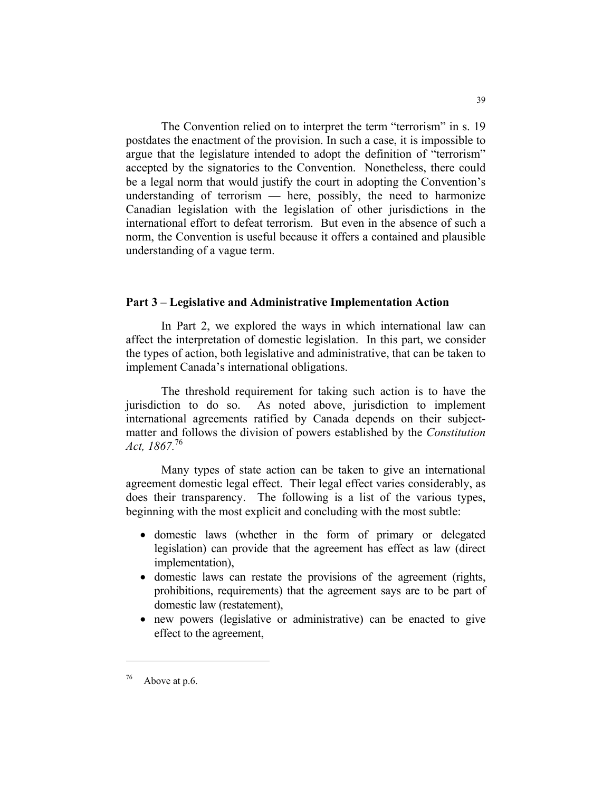The Convention relied on to interpret the term "terrorism" in s. 19 postdates the enactment of the provision. In such a case, it is impossible to argue that the legislature intended to adopt the definition of "terrorism" accepted by the signatories to the Convention. Nonetheless, there could be a legal norm that would justify the court in adopting the Convention's understanding of terrorism  $-$  here, possibly, the need to harmonize Canadian legislation with the legislation of other jurisdictions in the international effort to defeat terrorism. But even in the absence of such a norm, the Convention is useful because it offers a contained and plausible understanding of a vague term.

#### **Part 3 – Legislative and Administrative Implementation Action**

 In Part 2, we explored the ways in which international law can affect the interpretation of domestic legislation. In this part, we consider the types of action, both legislative and administrative, that can be taken to implement Canada's international obligations.

 The threshold requirement for taking such action is to have the jurisdiction to do so. As noted above, jurisdiction to implement international agreements ratified by Canada depends on their subjectmatter and follows the division of powers established by the *Constitution Act, 1867.*<sup>76</sup>

 Many types of state action can be taken to give an international agreement domestic legal effect. Their legal effect varies considerably, as does their transparency. The following is a list of the various types, beginning with the most explicit and concluding with the most subtle:

- domestic laws (whether in the form of primary or delegated legislation) can provide that the agreement has effect as law (direct implementation),
- domestic laws can restate the provisions of the agreement (rights, prohibitions, requirements) that the agreement says are to be part of domestic law (restatement),
- new powers (legislative or administrative) can be enacted to give effect to the agreement,

 $76$  Above at p.6.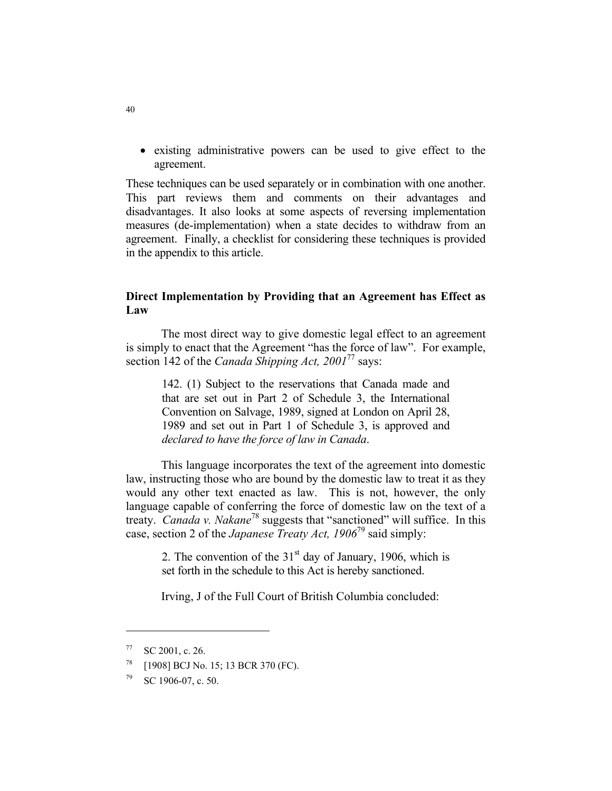• existing administrative powers can be used to give effect to the agreement.

These techniques can be used separately or in combination with one another. This part reviews them and comments on their advantages and disadvantages. It also looks at some aspects of reversing implementation measures (de-implementation) when a state decides to withdraw from an agreement. Finally, a checklist for considering these techniques is provided in the appendix to this article.

# **Direct Implementation by Providing that an Agreement has Effect as Law**

 The most direct way to give domestic legal effect to an agreement is simply to enact that the Agreement "has the force of law". For example, section 142 of the *Canada Shipping Act, 2001*<sup>77</sup> says:

142. (1) Subject to the reservations that Canada made and that are set out in Part 2 of Schedule 3, the International Convention on Salvage, 1989, signed at London on April 28, 1989 and set out in Part 1 of Schedule 3, is approved and *declared to have the force of law in Canada*.

 This language incorporates the text of the agreement into domestic law, instructing those who are bound by the domestic law to treat it as they would any other text enacted as law. This is not, however, the only language capable of conferring the force of domestic law on the text of a treaty. *Canada v. Nakane*78 suggests that "sanctioned" will suffice. In this case, section 2 of the *Japanese Treaty Act, 1906*79 said simply:

2. The convention of the  $31<sup>st</sup>$  day of January, 1906, which is set forth in the schedule to this Act is hereby sanctioned.

Irving, J of the Full Court of British Columbia concluded:

 $^{77}$  SC 2001, c. 26.

<sup>78 [1908]</sup> BCJ No. 15; 13 BCR 370 (FC).

 $79$  SC 1906-07, c. 50.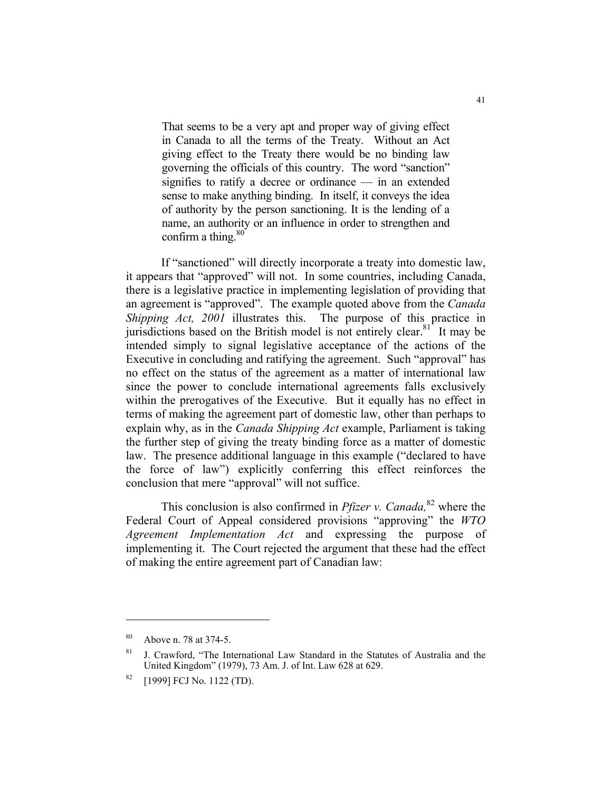That seems to be a very apt and proper way of giving effect in Canada to all the terms of the Treaty. Without an Act giving effect to the Treaty there would be no binding law governing the officials of this country. The word "sanction" signifies to ratify a decree or ordinance — in an extended sense to make anything binding. In itself, it conveys the idea of authority by the person sanctioning. It is the lending of a name, an authority or an influence in order to strengthen and confirm a thing.  $80^{\circ}$ 

 If "sanctioned" will directly incorporate a treaty into domestic law, it appears that "approved" will not. In some countries, including Canada, there is a legislative practice in implementing legislation of providing that an agreement is "approved". The example quoted above from the *Canada Shipping Act, 2001* illustrates this. The purpose of this practice in jurisdictions based on the British model is not entirely clear.<sup>81</sup> It may be intended simply to signal legislative acceptance of the actions of the Executive in concluding and ratifying the agreement. Such "approval" has no effect on the status of the agreement as a matter of international law since the power to conclude international agreements falls exclusively within the prerogatives of the Executive. But it equally has no effect in terms of making the agreement part of domestic law, other than perhaps to explain why, as in the *Canada Shipping Act* example, Parliament is taking the further step of giving the treaty binding force as a matter of domestic law. The presence additional language in this example ("declared to have the force of law") explicitly conferring this effect reinforces the conclusion that mere "approval" will not suffice.

This conclusion is also confirmed in *Pfizer v. Canada*,<sup>82</sup> where the Federal Court of Appeal considered provisions "approving" the *WTO Agreement Implementation Act* and expressing the purpose of implementing it. The Court rejected the argument that these had the effect of making the entire agreement part of Canadian law:

<sup>80</sup> Above n. 78 at 374-5.

<sup>81</sup> J. Crawford, "The International Law Standard in the Statutes of Australia and the United Kingdom" (1979), 73 Am. J. of Int. Law 628 at 629.

<sup>82 [1999]</sup> FCJ No. 1122 (TD).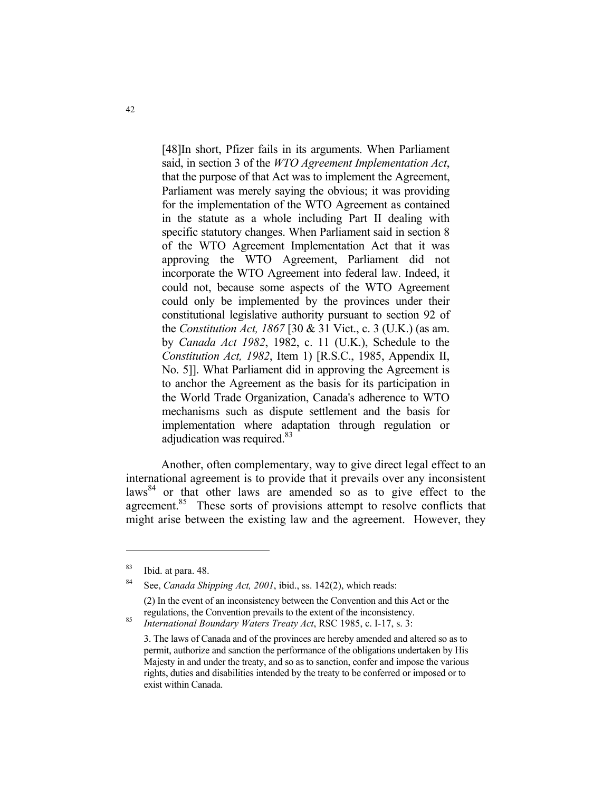[48]In short, Pfizer fails in its arguments. When Parliament said, in section 3 of the *WTO Agreement Implementation Act*, that the purpose of that Act was to implement the Agreement, Parliament was merely saying the obvious; it was providing for the implementation of the WTO Agreement as contained in the statute as a whole including Part II dealing with specific statutory changes. When Parliament said in section 8 of the WTO Agreement Implementation Act that it was approving the WTO Agreement, Parliament did not incorporate the WTO Agreement into federal law. Indeed, it could not, because some aspects of the WTO Agreement could only be implemented by the provinces under their constitutional legislative authority pursuant to section 92 of the *Constitution Act, 1867* [30 & 31 Vict., c. 3 (U.K.) (as am. by *Canada Act 1982*, 1982, c. 11 (U.K.), Schedule to the *Constitution Act, 1982*, Item 1) [R.S.C., 1985, Appendix II, No. 5]]. What Parliament did in approving the Agreement is to anchor the Agreement as the basis for its participation in the World Trade Organization, Canada's adherence to WTO mechanisms such as dispute settlement and the basis for implementation where adaptation through regulation or adjudication was required.<sup>83</sup>

 Another, often complementary, way to give direct legal effect to an international agreement is to provide that it prevails over any inconsistent  $laws<sup>84</sup>$  or that other laws are amended so as to give effect to the agreement.<sup>85</sup> These sorts of provisions attempt to resolve conflicts that might arise between the existing law and the agreement. However, they

<sup>83</sup> Ibid. at para. 48.

<sup>84</sup> See, *Canada Shipping Act, 2001*, ibid., ss. 142(2), which reads: (2) In the event of an inconsistency between the Convention and this Act or the

regulations, the Convention prevails to the extent of the inconsistency. 85 *International Boundary Waters Treaty Act*, RSC 1985, c. I-17, s. 3:

 <sup>3.</sup> The laws of Canada and of the provinces are hereby amended and altered so as to permit, authorize and sanction the performance of the obligations undertaken by His Majesty in and under the treaty, and so as to sanction, confer and impose the various rights, duties and disabilities intended by the treaty to be conferred or imposed or to exist within Canada.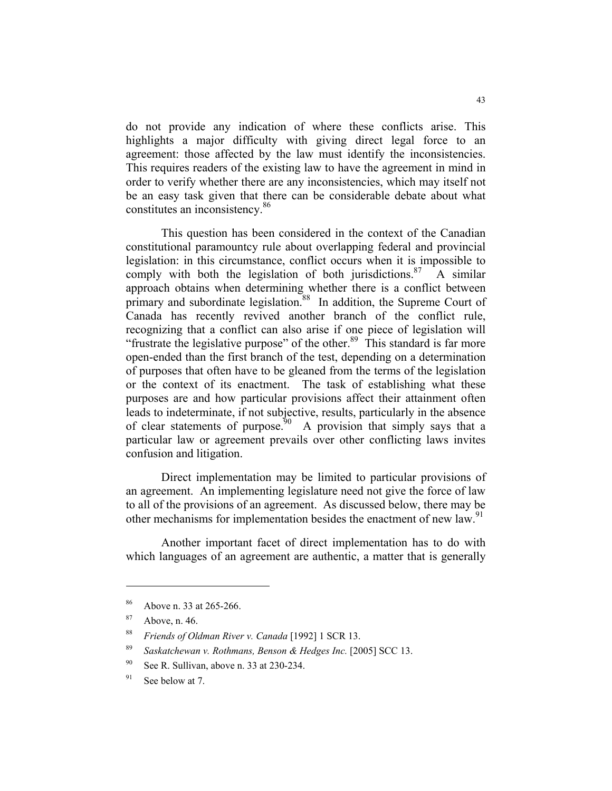do not provide any indication of where these conflicts arise. This highlights a major difficulty with giving direct legal force to an agreement: those affected by the law must identify the inconsistencies. This requires readers of the existing law to have the agreement in mind in order to verify whether there are any inconsistencies, which may itself not be an easy task given that there can be considerable debate about what constitutes an inconsistency.<sup>86</sup>

 This question has been considered in the context of the Canadian constitutional paramountcy rule about overlapping federal and provincial legislation: in this circumstance, conflict occurs when it is impossible to comply with both the legislation of both jurisdictions. $87$  A similar approach obtains when determining whether there is a conflict between primary and subordinate legislation.<sup>88</sup> In addition, the Supreme Court of Canada has recently revived another branch of the conflict rule, recognizing that a conflict can also arise if one piece of legislation will "frustrate the legislative purpose" of the other. $89$  This standard is far more open-ended than the first branch of the test, depending on a determination of purposes that often have to be gleaned from the terms of the legislation or the context of its enactment. The task of establishing what these purposes are and how particular provisions affect their attainment often leads to indeterminate, if not subjective, results, particularly in the absence of clear statements of purpose.<sup>90</sup> A provision that simply says that a particular law or agreement prevails over other conflicting laws invites confusion and litigation.

 Direct implementation may be limited to particular provisions of an agreement. An implementing legislature need not give the force of law to all of the provisions of an agreement. As discussed below, there may be other mechanisms for implementation besides the enactment of new law.<sup>91</sup>

 Another important facet of direct implementation has to do with which languages of an agreement are authentic, a matter that is generally

<sup>86</sup> Above n. 33 at 265-266.

 $87$  Above, n. 46.

<sup>88</sup> *Friends of Oldman River v. Canada* [1992] 1 SCR 13.

<sup>89</sup> *Saskatchewan v. Rothmans, Benson & Hedges Inc.* [2005] SCC 13.

<sup>90</sup> See R. Sullivan, above n. 33 at 230-234.

 $91$  See below at 7.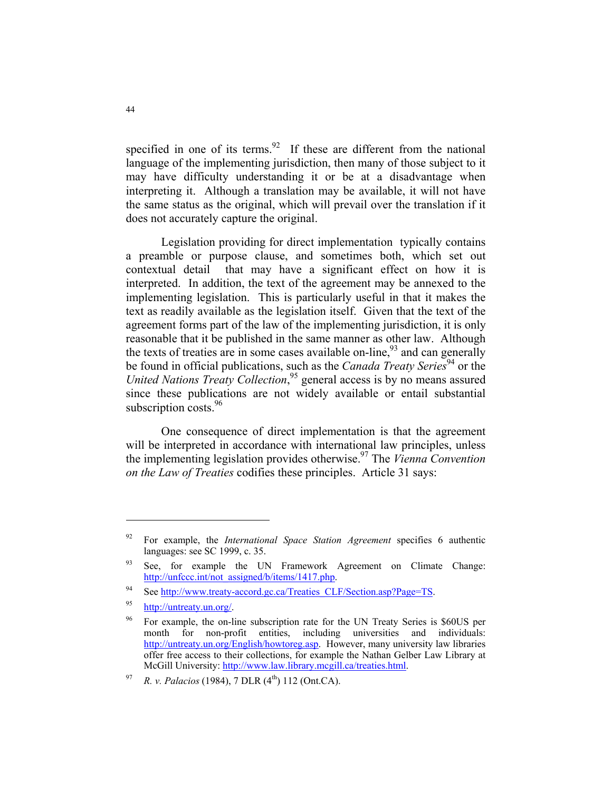specified in one of its terms.<sup>92</sup> If these are different from the national language of the implementing jurisdiction, then many of those subject to it may have difficulty understanding it or be at a disadvantage when interpreting it. Although a translation may be available, it will not have the same status as the original, which will prevail over the translation if it does not accurately capture the original.

 Legislation providing for direct implementation typically contains a preamble or purpose clause, and sometimes both, which set out contextual detail that may have a significant effect on how it is interpreted. In addition, the text of the agreement may be annexed to the implementing legislation. This is particularly useful in that it makes the text as readily available as the legislation itself. Given that the text of the agreement forms part of the law of the implementing jurisdiction, it is only reasonable that it be published in the same manner as other law. Although the texts of treaties are in some cases available on-line,  $93$  and can generally be found in official publications, such as the *Canada Treaty Series*<sup>94</sup> or the *United Nations Treaty Collection*, 95 general access is by no means assured since these publications are not widely available or entail substantial subscription costs.<sup>96</sup>

 One consequence of direct implementation is that the agreement will be interpreted in accordance with international law principles, unless the implementing legislation provides otherwise.97 The *Vienna Convention on the Law of Treaties* codifies these principles. Article 31 says:

<sup>92</sup> For example, the *International Space Station Agreement* specifies 6 authentic languages: see SC 1999, c. 35.

<sup>&</sup>lt;sup>93</sup> See, for example the UN Framework Agreement on Climate Change: http://unfccc.int/not\_assigned/b/items/1417.php.

<sup>94</sup> See http://www.treaty-accord.gc.ca/Treaties\_CLF/Section.asp?Page=TS.

<sup>95</sup> http://untreaty.un.org/.

<sup>96</sup> For example, the on-line subscription rate for the UN Treaty Series is \$60US per month for non-profit entities, including universities and individuals: http://untreaty.un.org/English/howtoreg.asp. However, many university law libraries offer free access to their collections, for example the Nathan Gelber Law Library at McGill University: http://www.law.library.mcgill.ca/treaties.html.

<sup>&</sup>lt;sup>97</sup> *R. v. Palacios* (1984), 7 DLR (4<sup>th</sup>) 112 (Ont.CA).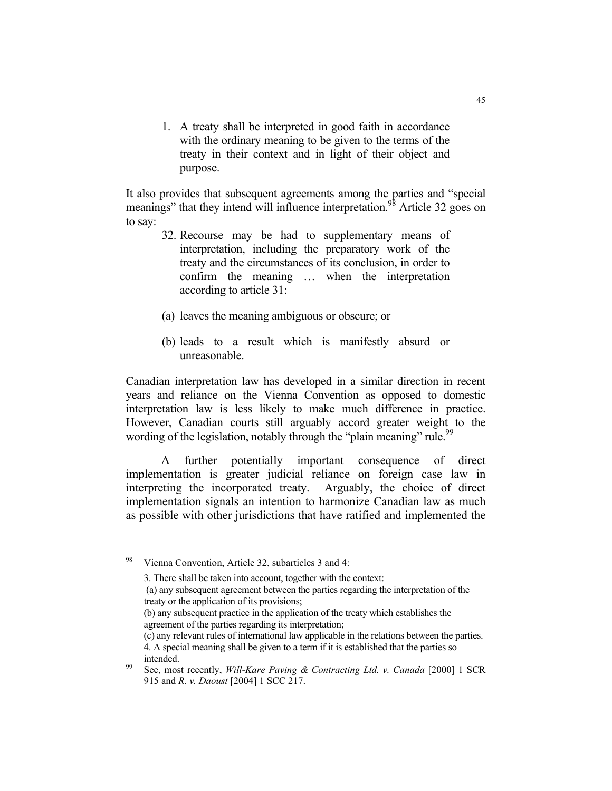1. A treaty shall be interpreted in good faith in accordance with the ordinary meaning to be given to the terms of the treaty in their context and in light of their object and purpose.

It also provides that subsequent agreements among the parties and "special meanings" that they intend will influence interpretation.<sup>98</sup> Article 32 goes on to say:

- 32. Recourse may be had to supplementary means of interpretation, including the preparatory work of the treaty and the circumstances of its conclusion, in order to confirm the meaning … when the interpretation according to article 31:
- (a) leaves the meaning ambiguous or obscure; or
- (b) leads to a result which is manifestly absurd or unreasonable.

Canadian interpretation law has developed in a similar direction in recent years and reliance on the Vienna Convention as opposed to domestic interpretation law is less likely to make much difference in practice. However, Canadian courts still arguably accord greater weight to the wording of the legislation, notably through the "plain meaning" rule.<sup>99</sup>

 A further potentially important consequence of direct implementation is greater judicial reliance on foreign case law in interpreting the incorporated treaty. Arguably, the choice of direct implementation signals an intention to harmonize Canadian law as much as possible with other jurisdictions that have ratified and implemented the

- (b) any subsequent practice in the application of the treaty which establishes the agreement of the parties regarding its interpretation;
- (c) any relevant rules of international law applicable in the relations between the parties. 4. A special meaning shall be given to a term if it is established that the parties so

Vienna Convention, Article 32, subarticles 3 and 4:

 <sup>3.</sup> There shall be taken into account, together with the context:

 <sup>(</sup>a) any subsequent agreement between the parties regarding the interpretation of the treaty or the application of its provisions;

intended. 99 See, most recently, *Will-Kare Paving & Contracting Ltd. v. Canada* [2000] 1 SCR 915 and *R. v. Daoust* [2004] 1 SCC 217.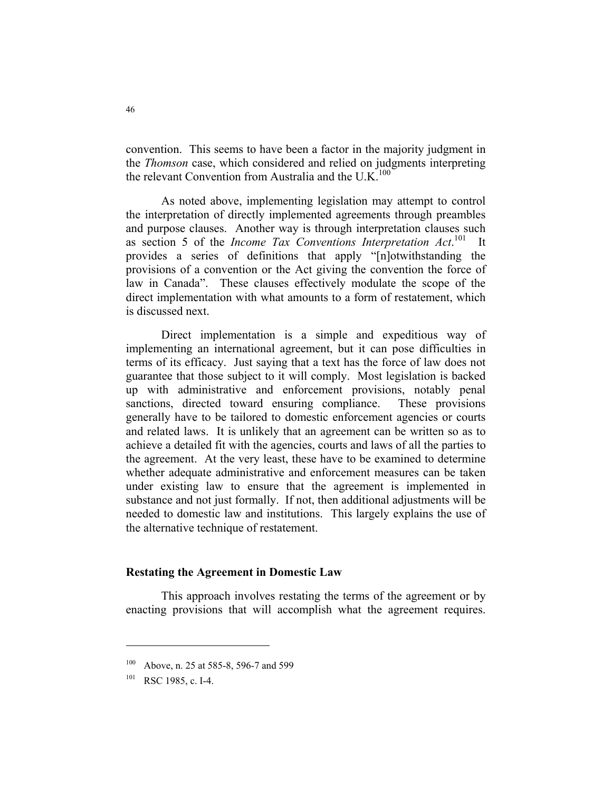convention. This seems to have been a factor in the majority judgment in the *Thomson* case, which considered and relied on judgments interpreting the relevant Convention from Australia and the U.K. $100$ 

 As noted above, implementing legislation may attempt to control the interpretation of directly implemented agreements through preambles and purpose clauses. Another way is through interpretation clauses such as section 5 of the *Income Tax Conventions Interpretation Act*.<sup>101</sup> It provides a series of definitions that apply "[n]otwithstanding the provisions of a convention or the Act giving the convention the force of law in Canada". These clauses effectively modulate the scope of the direct implementation with what amounts to a form of restatement, which is discussed next.

 Direct implementation is a simple and expeditious way of implementing an international agreement, but it can pose difficulties in terms of its efficacy. Just saying that a text has the force of law does not guarantee that those subject to it will comply. Most legislation is backed up with administrative and enforcement provisions, notably penal sanctions, directed toward ensuring compliance. These provisions generally have to be tailored to domestic enforcement agencies or courts and related laws. It is unlikely that an agreement can be written so as to achieve a detailed fit with the agencies, courts and laws of all the parties to the agreement. At the very least, these have to be examined to determine whether adequate administrative and enforcement measures can be taken under existing law to ensure that the agreement is implemented in substance and not just formally. If not, then additional adjustments will be needed to domestic law and institutions. This largely explains the use of the alternative technique of restatement.

#### **Restating the Agreement in Domestic Law**

 This approach involves restating the terms of the agreement or by enacting provisions that will accomplish what the agreement requires.

<sup>100</sup> Above, n. 25 at 585-8, 596-7 and 599

<sup>101</sup> RSC 1985, c. I-4.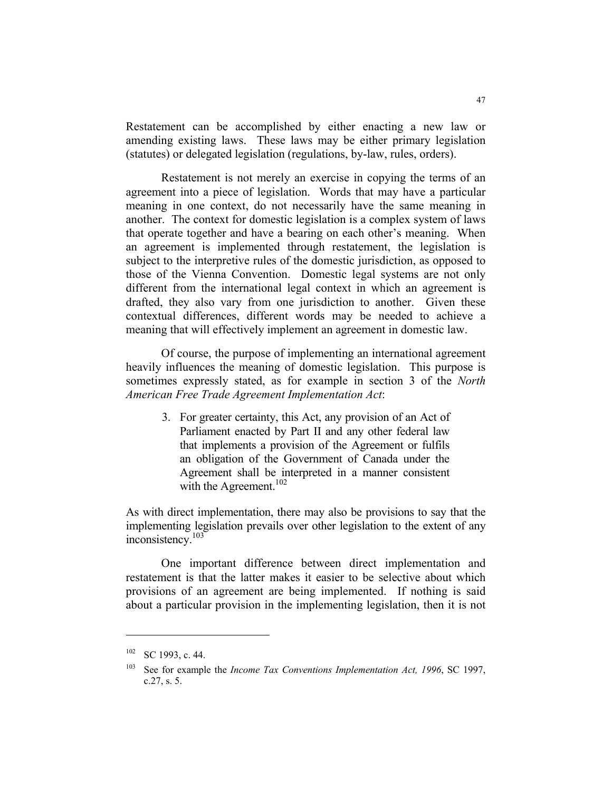Restatement can be accomplished by either enacting a new law or amending existing laws. These laws may be either primary legislation (statutes) or delegated legislation (regulations, by-law, rules, orders).

 Restatement is not merely an exercise in copying the terms of an agreement into a piece of legislation. Words that may have a particular meaning in one context, do not necessarily have the same meaning in another. The context for domestic legislation is a complex system of laws that operate together and have a bearing on each other's meaning. When an agreement is implemented through restatement, the legislation is subject to the interpretive rules of the domestic jurisdiction, as opposed to those of the Vienna Convention. Domestic legal systems are not only different from the international legal context in which an agreement is drafted, they also vary from one jurisdiction to another. Given these contextual differences, different words may be needed to achieve a meaning that will effectively implement an agreement in domestic law.

 Of course, the purpose of implementing an international agreement heavily influences the meaning of domestic legislation. This purpose is sometimes expressly stated, as for example in section 3 of the *North American Free Trade Agreement Implementation Act*:

> 3. For greater certainty, this Act, any provision of an Act of Parliament enacted by Part II and any other federal law that implements a provision of the Agreement or fulfils an obligation of the Government of Canada under the Agreement shall be interpreted in a manner consistent with the Agreement.<sup>102</sup>

As with direct implementation, there may also be provisions to say that the implementing legislation prevails over other legislation to the extent of any inconsistency.<sup>103</sup>

 One important difference between direct implementation and restatement is that the latter makes it easier to be selective about which provisions of an agreement are being implemented. If nothing is said about a particular provision in the implementing legislation, then it is not

<sup>102</sup> SC 1993, c. 44.

<sup>&</sup>lt;sup>103</sup> See for example the *Income Tax Conventions Implementation Act, 1996*, SC 1997, c.27, s. 5.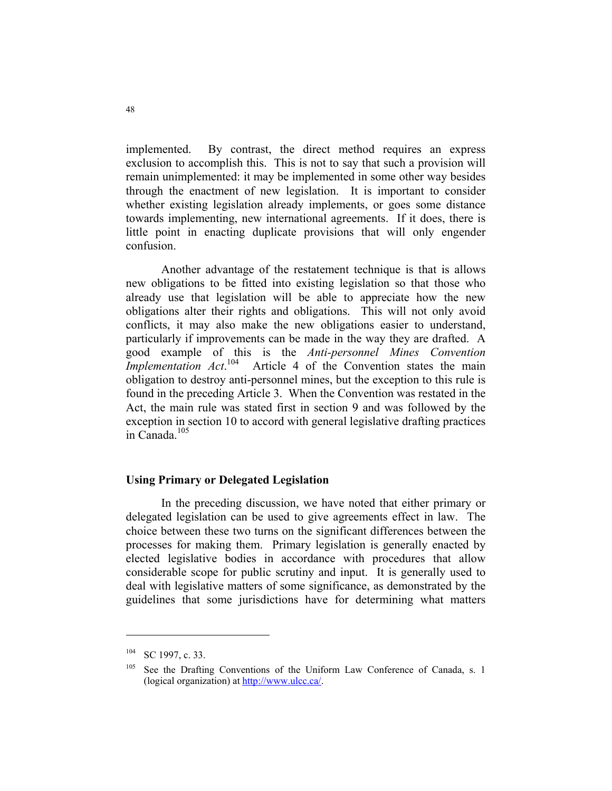implemented. By contrast, the direct method requires an express exclusion to accomplish this. This is not to say that such a provision will remain unimplemented: it may be implemented in some other way besides through the enactment of new legislation. It is important to consider whether existing legislation already implements, or goes some distance towards implementing, new international agreements. If it does, there is little point in enacting duplicate provisions that will only engender confusion.

 Another advantage of the restatement technique is that is allows new obligations to be fitted into existing legislation so that those who already use that legislation will be able to appreciate how the new obligations alter their rights and obligations. This will not only avoid conflicts, it may also make the new obligations easier to understand, particularly if improvements can be made in the way they are drafted. A good example of this is the *Anti-personnel Mines Convention Implementation Act.*<sup>104</sup> Article 4 of the Convention states the main obligation to destroy anti-personnel mines, but the exception to this rule is found in the preceding Article 3. When the Convention was restated in the Act, the main rule was stated first in section 9 and was followed by the exception in section 10 to accord with general legislative drafting practices in Canada.<sup>105</sup>

#### **Using Primary or Delegated Legislation**

 In the preceding discussion, we have noted that either primary or delegated legislation can be used to give agreements effect in law. The choice between these two turns on the significant differences between the processes for making them. Primary legislation is generally enacted by elected legislative bodies in accordance with procedures that allow considerable scope for public scrutiny and input. It is generally used to deal with legislative matters of some significance, as demonstrated by the guidelines that some jurisdictions have for determining what matters

<sup>104</sup> SC 1997, c. 33.

See the Drafting Conventions of the Uniform Law Conference of Canada, s. 1 (logical organization) at http://www.ulcc.ca/.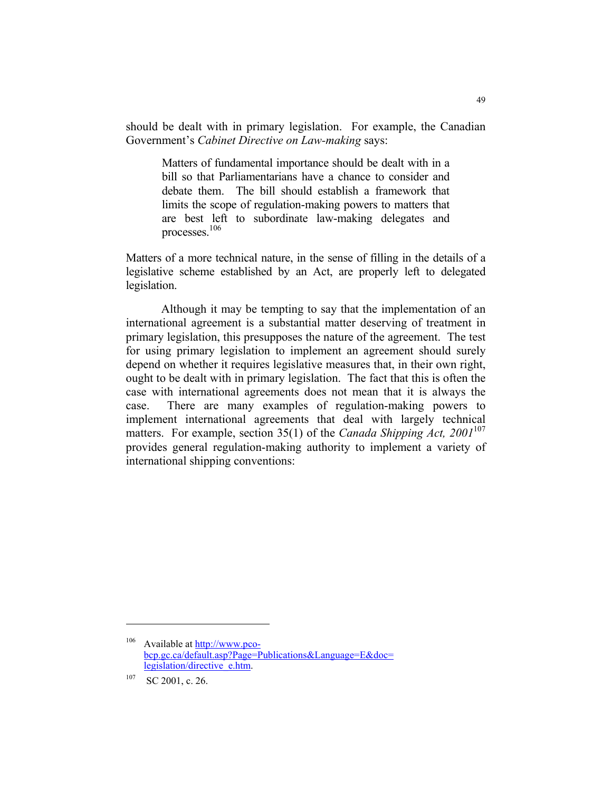should be dealt with in primary legislation. For example, the Canadian Government's *Cabinet Directive on Law-making* says:

Matters of fundamental importance should be dealt with in a bill so that Parliamentarians have a chance to consider and debate them. The bill should establish a framework that limits the scope of regulation-making powers to matters that are best left to subordinate law-making delegates and processes.106

Matters of a more technical nature, in the sense of filling in the details of a legislative scheme established by an Act, are properly left to delegated legislation.

 Although it may be tempting to say that the implementation of an international agreement is a substantial matter deserving of treatment in primary legislation, this presupposes the nature of the agreement. The test for using primary legislation to implement an agreement should surely depend on whether it requires legislative measures that, in their own right, ought to be dealt with in primary legislation. The fact that this is often the case with international agreements does not mean that it is always the case. There are many examples of regulation-making powers to implement international agreements that deal with largely technical matters. For example, section 35(1) of the *Canada Shipping Act*, 2001<sup>107</sup> provides general regulation-making authority to implement a variety of international shipping conventions:

<sup>106</sup> Available at http://www.pcobcp.gc.ca/default.asp?Page=Publications&Language=E&doc= legislation/directive\_e.htm.

 $107$  SC 2001, c. 26.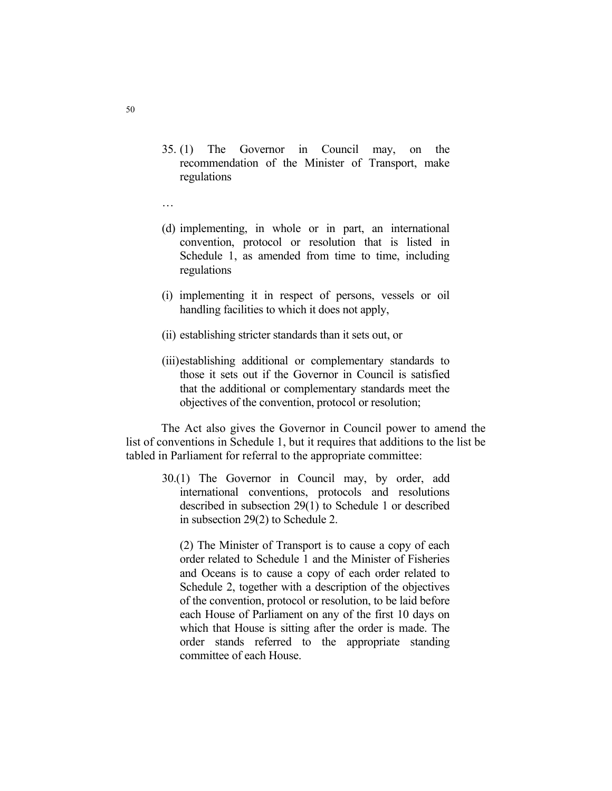- 35. (1) The Governor in Council may, on the recommendation of the Minister of Transport, make regulations
- …
- (d) implementing, in whole or in part, an international convention, protocol or resolution that is listed in Schedule 1, as amended from time to time, including regulations
- (i) implementing it in respect of persons, vessels or oil handling facilities to which it does not apply,
- (ii) establishing stricter standards than it sets out, or
- (iii) establishing additional or complementary standards to those it sets out if the Governor in Council is satisfied that the additional or complementary standards meet the objectives of the convention, protocol or resolution;

 The Act also gives the Governor in Council power to amend the list of conventions in Schedule 1, but it requires that additions to the list be tabled in Parliament for referral to the appropriate committee:

30.(1) The Governor in Council may, by order, add international conventions, protocols and resolutions described in subsection 29(1) to Schedule 1 or described in subsection 29(2) to Schedule 2.

 (2) The Minister of Transport is to cause a copy of each order related to Schedule 1 and the Minister of Fisheries and Oceans is to cause a copy of each order related to Schedule 2, together with a description of the objectives of the convention, protocol or resolution, to be laid before each House of Parliament on any of the first 10 days on which that House is sitting after the order is made. The order stands referred to the appropriate standing committee of each House.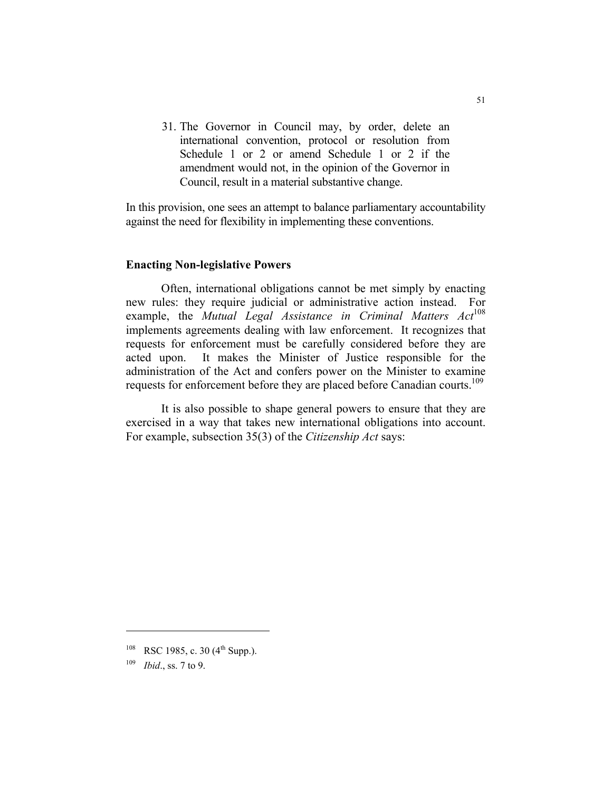31. The Governor in Council may, by order, delete an international convention, protocol or resolution from Schedule 1 or 2 or amend Schedule 1 or 2 if the amendment would not, in the opinion of the Governor in Council, result in a material substantive change.

In this provision, one sees an attempt to balance parliamentary accountability against the need for flexibility in implementing these conventions.

#### **Enacting Non-legislative Powers**

 Often, international obligations cannot be met simply by enacting new rules: they require judicial or administrative action instead. For example, the *Mutual Legal Assistance in Criminal Matters Act*<sup>108</sup> implements agreements dealing with law enforcement. It recognizes that requests for enforcement must be carefully considered before they are acted upon. It makes the Minister of Justice responsible for the administration of the Act and confers power on the Minister to examine requests for enforcement before they are placed before Canadian courts.<sup>109</sup>

 It is also possible to shape general powers to ensure that they are exercised in a way that takes new international obligations into account. For example, subsection 35(3) of the *Citizenship Act* says:

<sup>&</sup>lt;sup>108</sup> RSC 1985, c. 30 (4<sup>th</sup> Supp.).

<sup>109</sup> *Ibid*., ss. 7 to 9.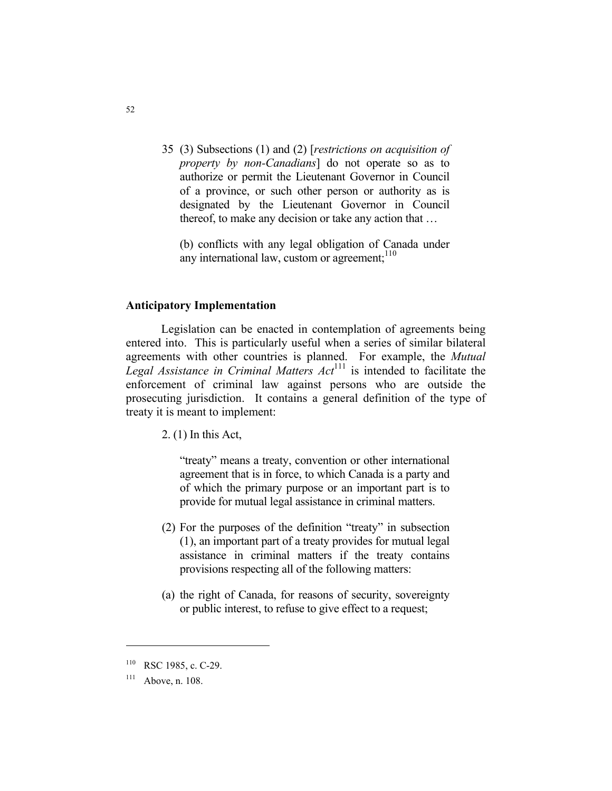35 (3) Subsections (1) and (2) [*restrictions on acquisition of property by non-Canadians*] do not operate so as to authorize or permit the Lieutenant Governor in Council of a province, or such other person or authority as is designated by the Lieutenant Governor in Council thereof, to make any decision or take any action that …

 (b) conflicts with any legal obligation of Canada under any international law, custom or agreement; $110$ 

#### **Anticipatory Implementation**

 Legislation can be enacted in contemplation of agreements being entered into. This is particularly useful when a series of similar bilateral agreements with other countries is planned. For example, the *Mutual Legal Assistance in Criminal Matters Act*<sup>111</sup> is intended to facilitate the enforcement of criminal law against persons who are outside the prosecuting jurisdiction. It contains a general definition of the type of treaty it is meant to implement:

2. (1) In this Act,

 "treaty" means a treaty, convention or other international agreement that is in force, to which Canada is a party and of which the primary purpose or an important part is to provide for mutual legal assistance in criminal matters.

- (2) For the purposes of the definition "treaty" in subsection (1), an important part of a treaty provides for mutual legal assistance in criminal matters if the treaty contains provisions respecting all of the following matters:
- (a) the right of Canada, for reasons of security, sovereignty or public interest, to refuse to give effect to a request;

<sup>110</sup> RSC 1985, c. C-29.

 $111$  Above, n. 108.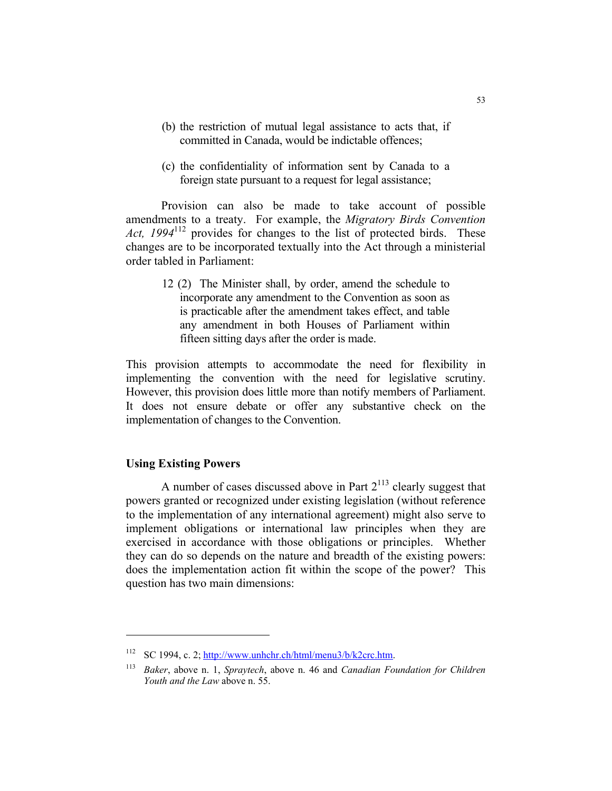- (b) the restriction of mutual legal assistance to acts that, if committed in Canada, would be indictable offences;
- (c) the confidentiality of information sent by Canada to a foreign state pursuant to a request for legal assistance;

 Provision can also be made to take account of possible amendments to a treaty. For example, the *Migratory Birds Convention Act, 1994*112 provides for changes to the list of protected birds. These changes are to be incorporated textually into the Act through a ministerial order tabled in Parliament:

> 12 (2) The Minister shall, by order, amend the schedule to incorporate any amendment to the Convention as soon as is practicable after the amendment takes effect, and table any amendment in both Houses of Parliament within fifteen sitting days after the order is made.

This provision attempts to accommodate the need for flexibility in implementing the convention with the need for legislative scrutiny. However, this provision does little more than notify members of Parliament. It does not ensure debate or offer any substantive check on the implementation of changes to the Convention.

# **Using Existing Powers**

A number of cases discussed above in Part  $2^{113}$  clearly suggest that powers granted or recognized under existing legislation (without reference to the implementation of any international agreement) might also serve to implement obligations or international law principles when they are exercised in accordance with those obligations or principles. Whether they can do so depends on the nature and breadth of the existing powers: does the implementation action fit within the scope of the power? This question has two main dimensions:

<sup>&</sup>lt;sup>112</sup> SC 1994, c. 2; http://www.unhchr.ch/html/menu3/b/k2crc.htm.

<sup>113</sup> *Baker*, above n. 1, *Spraytech*, above n. 46 and *Canadian Foundation for Children Youth and the Law* above n. 55.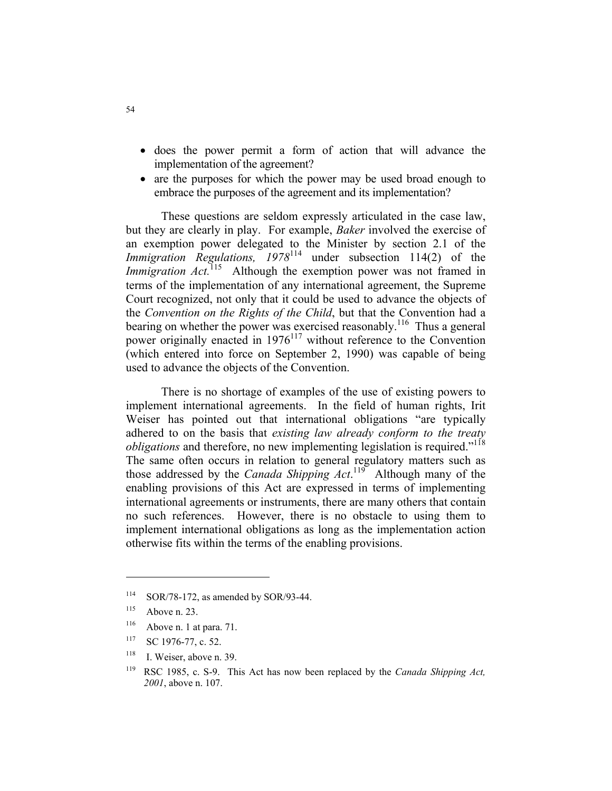- does the power permit a form of action that will advance the implementation of the agreement?
- are the purposes for which the power may be used broad enough to embrace the purposes of the agreement and its implementation?

 These questions are seldom expressly articulated in the case law, but they are clearly in play. For example, *Baker* involved the exercise of an exemption power delegated to the Minister by section 2.1 of the *Immigration Regulations,*  $1978^{114}$  under subsection 114(2) of the *Immigration Act.*<sup>115</sup> Although the exemption power was not framed in terms of the implementation of any international agreement, the Supreme Court recognized, not only that it could be used to advance the objects of the *Convention on the Rights of the Child*, but that the Convention had a bearing on whether the power was exercised reasonably.<sup>116</sup> Thus a general power originally enacted in  $1976^{117}$  without reference to the Convention (which entered into force on September 2, 1990) was capable of being used to advance the objects of the Convention.

 There is no shortage of examples of the use of existing powers to implement international agreements. In the field of human rights, Irit Weiser has pointed out that international obligations "are typically adhered to on the basis that *existing law already conform to the treaty obligations* and therefore, no new implementing legislation is required."<sup>118</sup> The same often occurs in relation to general regulatory matters such as those addressed by the *Canada Shipping Act*.<sup>119</sup> Although many of the enabling provisions of this Act are expressed in terms of implementing international agreements or instruments, there are many others that contain no such references. However, there is no obstacle to using them to implement international obligations as long as the implementation action otherwise fits within the terms of the enabling provisions.

- $116$  Above n. 1 at para. 71.
- <sup>117</sup> SC 1976-77, c. 52.
- $118$  I. Weiser, above n. 39.

<sup>114</sup> SOR/78-172, as amended by SOR/93-44.

 $115$  Above n. 23.

<sup>119</sup> RSC 1985, c. S-9. This Act has now been replaced by the *Canada Shipping Act, 2001*, above n. 107.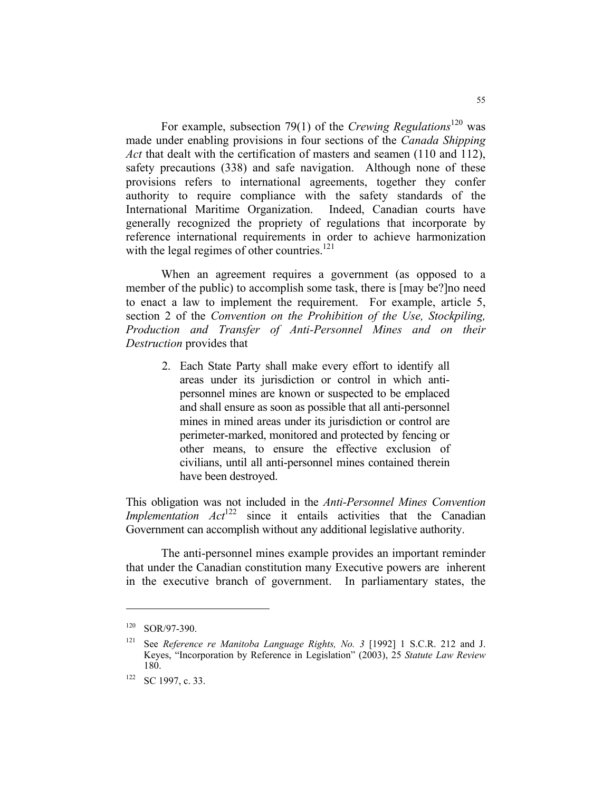For example, subsection 79(1) of the *Crewing Regulations*<sup>120</sup> was made under enabling provisions in four sections of the *Canada Shipping Act* that dealt with the certification of masters and seamen (110 and 112), safety precautions (338) and safe navigation. Although none of these provisions refers to international agreements, together they confer authority to require compliance with the safety standards of the International Maritime Organization. Indeed, Canadian courts have generally recognized the propriety of regulations that incorporate by reference international requirements in order to achieve harmonization with the legal regimes of other countries.<sup>121</sup>

 When an agreement requires a government (as opposed to a member of the public) to accomplish some task, there is [may be?]no need to enact a law to implement the requirement. For example, article 5, section 2 of the *Convention on the Prohibition of the Use, Stockpiling, Production and Transfer of Anti-Personnel Mines and on their Destruction* provides that

2. Each State Party shall make every effort to identify all areas under its jurisdiction or control in which antipersonnel mines are known or suspected to be emplaced and shall ensure as soon as possible that all anti-personnel mines in mined areas under its jurisdiction or control are perimeter-marked, monitored and protected by fencing or other means, to ensure the effective exclusion of civilians, until all anti-personnel mines contained therein have been destroyed.

This obligation was not included in the *Anti-Personnel Mines Convention Implementation Act*<sup>122</sup> since it entails activities that the Canadian Government can accomplish without any additional legislative authority.

 The anti-personnel mines example provides an important reminder that under the Canadian constitution many Executive powers are inherent in the executive branch of government. In parliamentary states, the

<sup>120</sup> SOR/97-390.

<sup>121</sup> See *Reference re Manitoba Language Rights, No. 3* [1992] 1 S.C.R. 212 and J. Keyes, "Incorporation by Reference in Legislation" (2003), 25 *Statute Law Review* 180.

<sup>&</sup>lt;sup>122</sup> SC 1997, c. 33.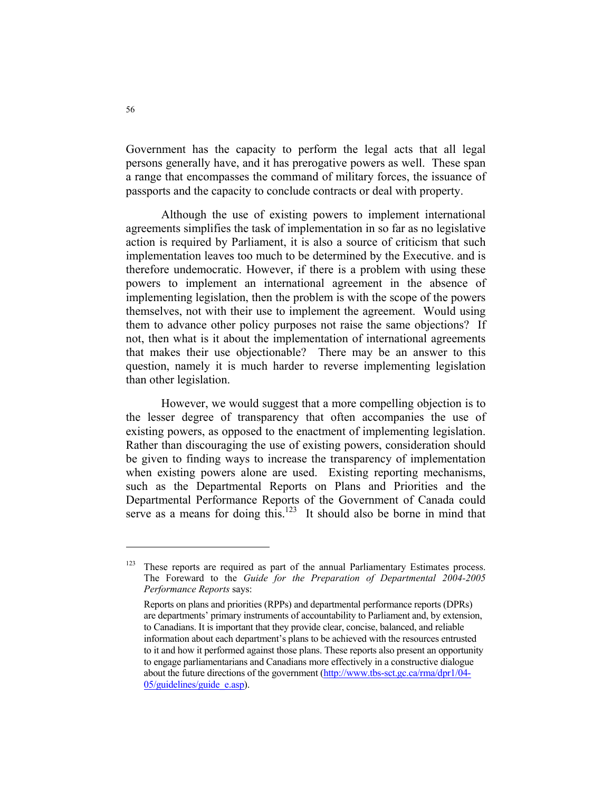Government has the capacity to perform the legal acts that all legal persons generally have, and it has prerogative powers as well. These span a range that encompasses the command of military forces, the issuance of passports and the capacity to conclude contracts or deal with property.

 Although the use of existing powers to implement international agreements simplifies the task of implementation in so far as no legislative action is required by Parliament, it is also a source of criticism that such implementation leaves too much to be determined by the Executive. and is therefore undemocratic. However, if there is a problem with using these powers to implement an international agreement in the absence of implementing legislation, then the problem is with the scope of the powers themselves, not with their use to implement the agreement. Would using them to advance other policy purposes not raise the same objections? If not, then what is it about the implementation of international agreements that makes their use objectionable? There may be an answer to this question, namely it is much harder to reverse implementing legislation than other legislation.

 However, we would suggest that a more compelling objection is to the lesser degree of transparency that often accompanies the use of existing powers, as opposed to the enactment of implementing legislation. Rather than discouraging the use of existing powers, consideration should be given to finding ways to increase the transparency of implementation when existing powers alone are used. Existing reporting mechanisms, such as the Departmental Reports on Plans and Priorities and the Departmental Performance Reports of the Government of Canada could serve as a means for doing this. $123$  It should also be borne in mind that

 $123$  These reports are required as part of the annual Parliamentary Estimates process. The Foreward to the *Guide for the Preparation of Departmental 2004-2005 Performance Reports* says:

Reports on plans and priorities (RPPs) and departmental performance reports (DPRs) are departments' primary instruments of accountability to Parliament and, by extension, to Canadians. It is important that they provide clear, concise, balanced, and reliable information about each department's plans to be achieved with the resources entrusted to it and how it performed against those plans. These reports also present an opportunity to engage parliamentarians and Canadians more effectively in a constructive dialogue about the future directions of the government (http://www.tbs-sct.gc.ca/rma/dpr1/04- 05/guidelines/guide\_e.asp).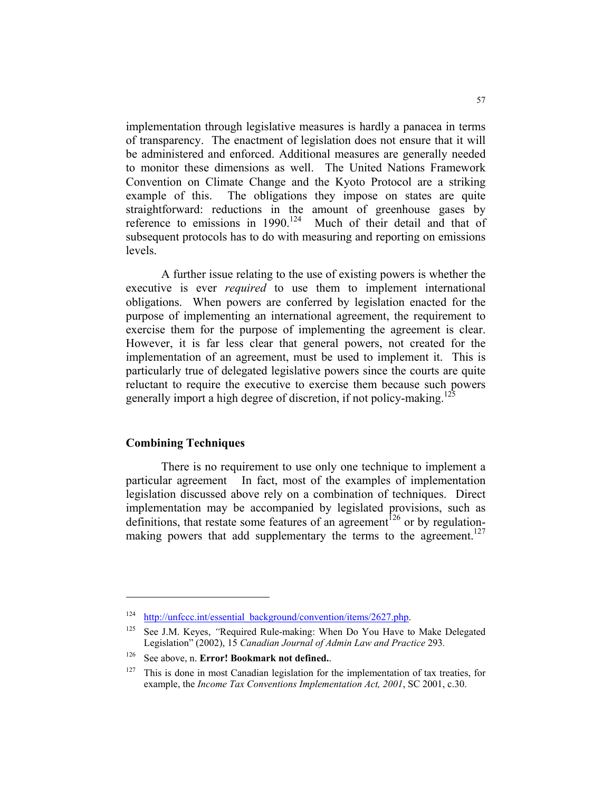implementation through legislative measures is hardly a panacea in terms of transparency. The enactment of legislation does not ensure that it will be administered and enforced. Additional measures are generally needed to monitor these dimensions as well. The United Nations Framework Convention on Climate Change and the Kyoto Protocol are a striking example of this. The obligations they impose on states are quite straightforward: reductions in the amount of greenhouse gases by reference to emissions in 1990.<sup>124</sup> Much of their detail and that of subsequent protocols has to do with measuring and reporting on emissions levels.

 A further issue relating to the use of existing powers is whether the executive is ever *required* to use them to implement international obligations. When powers are conferred by legislation enacted for the purpose of implementing an international agreement, the requirement to exercise them for the purpose of implementing the agreement is clear. However, it is far less clear that general powers, not created for the implementation of an agreement, must be used to implement it. This is particularly true of delegated legislative powers since the courts are quite reluctant to require the executive to exercise them because such powers generally import a high degree of discretion, if not policy-making.<sup>125</sup>

#### **Combining Techniques**

 There is no requirement to use only one technique to implement a particular agreement In fact, most of the examples of implementation legislation discussed above rely on a combination of techniques. Direct implementation may be accompanied by legislated provisions, such as definitions, that restate some features of an agreement<sup>126</sup> or by regulationmaking powers that add supplementary the terms to the agreement.<sup>127</sup>

<sup>&</sup>lt;sup>124</sup> http://unfccc.int/essential\_background/convention/items/2627.php.

<sup>125</sup> See J.M. Keyes, *"*Required Rule-making: When Do You Have to Make Delegated Legislation" (2002), 15 *Canadian Journal of Admin Law and Practice* 293*.*

<sup>126</sup> See above, n. **Error! Bookmark not defined.**.

 $127$  This is done in most Canadian legislation for the implementation of tax treaties, for example, the *Income Tax Conventions Implementation Act, 2001*, SC 2001, c.30.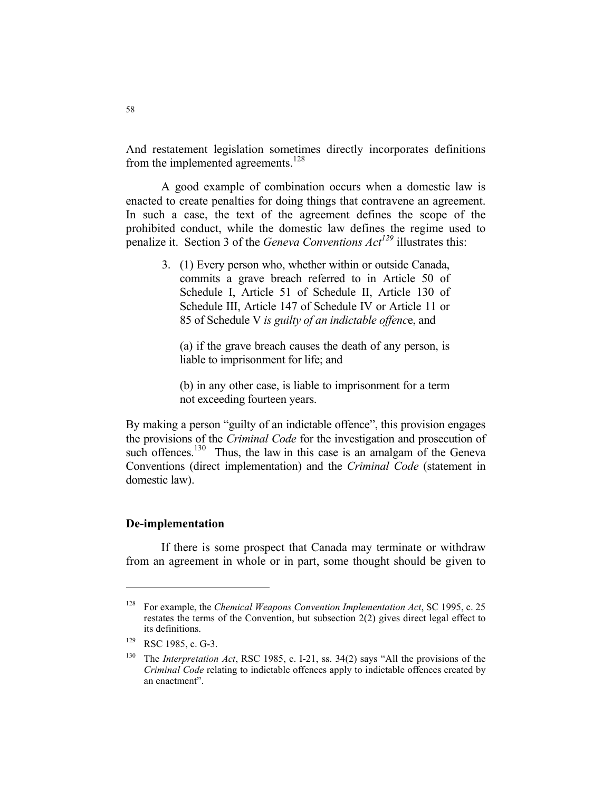And restatement legislation sometimes directly incorporates definitions from the implemented agreements.<sup>128</sup>

 A good example of combination occurs when a domestic law is enacted to create penalties for doing things that contravene an agreement. In such a case, the text of the agreement defines the scope of the prohibited conduct, while the domestic law defines the regime used to penalize it. Section 3 of the *Geneva Conventions Act*<sup>129</sup> illustrates this:

3. (1) Every person who, whether within or outside Canada, commits a grave breach referred to in Article 50 of Schedule I, Article 51 of Schedule II, Article 130 of Schedule III, Article 147 of Schedule IV or Article 11 or 85 of Schedule V *is guilty of an indictable offenc*e, and

 (a) if the grave breach causes the death of any person, is liable to imprisonment for life; and

 (b) in any other case, is liable to imprisonment for a term not exceeding fourteen years.

By making a person "guilty of an indictable offence", this provision engages the provisions of the *Criminal Code* for the investigation and prosecution of such offences.<sup>130</sup> Thus, the law in this case is an amalgam of the Geneva Conventions (direct implementation) and the *Criminal Code* (statement in domestic law).

#### **De-implementation**

 If there is some prospect that Canada may terminate or withdraw from an agreement in whole or in part, some thought should be given to

<sup>128</sup> For example, the *Chemical Weapons Convention Implementation Act*, SC 1995, c. 25 restates the terms of the Convention, but subsection 2(2) gives direct legal effect to its definitions.

<sup>129</sup> RSC 1985, c. G-3.

<sup>130</sup> The *Interpretation Act*, RSC 1985, c. I-21, ss. 34(2) says "All the provisions of the *Criminal Code* relating to indictable offences apply to indictable offences created by an enactment".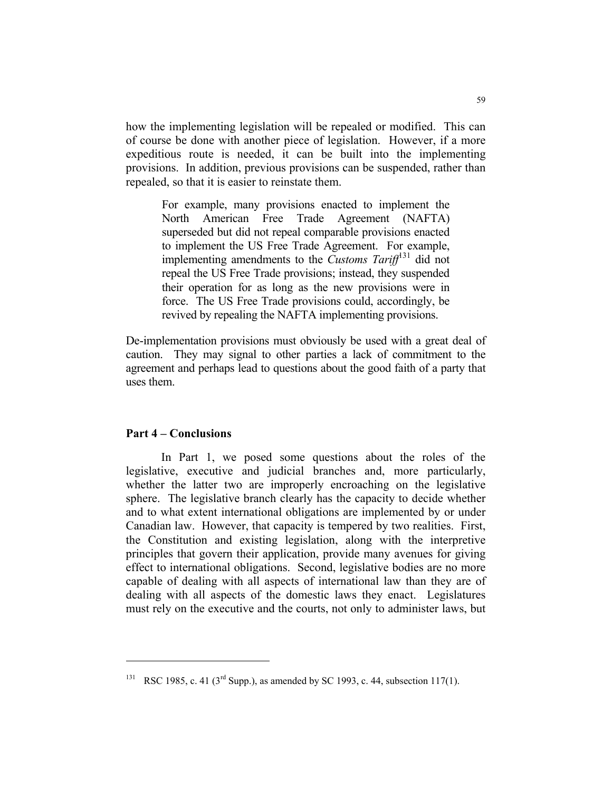how the implementing legislation will be repealed or modified. This can of course be done with another piece of legislation. However, if a more expeditious route is needed, it can be built into the implementing provisions. In addition, previous provisions can be suspended, rather than repealed, so that it is easier to reinstate them.

For example, many provisions enacted to implement the North American Free Trade Agreement (NAFTA) superseded but did not repeal comparable provisions enacted to implement the US Free Trade Agreement. For example, implementing amendments to the *Customs Tariff*131 did not repeal the US Free Trade provisions; instead, they suspended their operation for as long as the new provisions were in force. The US Free Trade provisions could, accordingly, be revived by repealing the NAFTA implementing provisions.

De-implementation provisions must obviously be used with a great deal of caution. They may signal to other parties a lack of commitment to the agreement and perhaps lead to questions about the good faith of a party that uses them.

#### **Part 4 – Conclusions**

 In Part 1, we posed some questions about the roles of the legislative, executive and judicial branches and, more particularly, whether the latter two are improperly encroaching on the legislative sphere. The legislative branch clearly has the capacity to decide whether and to what extent international obligations are implemented by or under Canadian law. However, that capacity is tempered by two realities. First, the Constitution and existing legislation, along with the interpretive principles that govern their application, provide many avenues for giving effect to international obligations. Second, legislative bodies are no more capable of dealing with all aspects of international law than they are of dealing with all aspects of the domestic laws they enact. Legislatures must rely on the executive and the courts, not only to administer laws, but

<sup>&</sup>lt;sup>131</sup> RSC 1985, c. 41 (3<sup>rd</sup> Supp.), as amended by SC 1993, c. 44, subsection 117(1).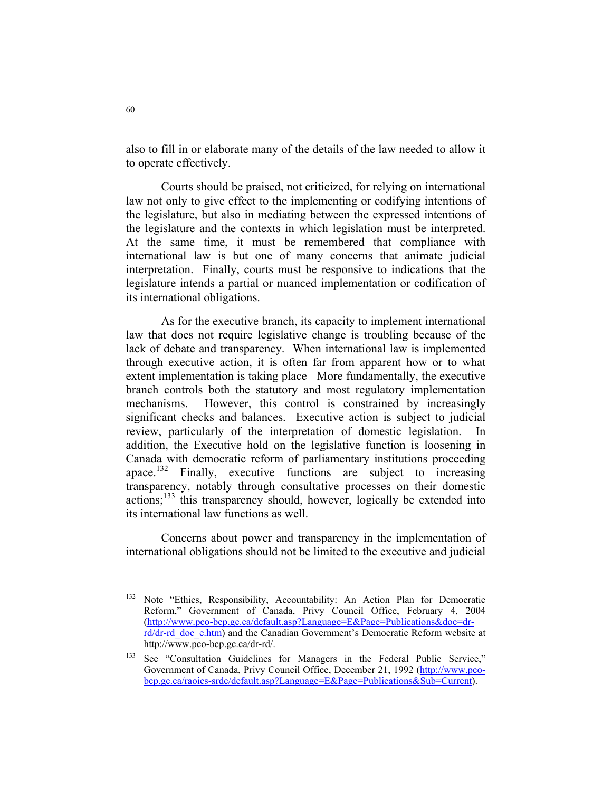also to fill in or elaborate many of the details of the law needed to allow it to operate effectively.

 Courts should be praised, not criticized, for relying on international law not only to give effect to the implementing or codifying intentions of the legislature, but also in mediating between the expressed intentions of the legislature and the contexts in which legislation must be interpreted. At the same time, it must be remembered that compliance with international law is but one of many concerns that animate judicial interpretation. Finally, courts must be responsive to indications that the legislature intends a partial or nuanced implementation or codification of its international obligations.

 As for the executive branch, its capacity to implement international law that does not require legislative change is troubling because of the lack of debate and transparency. When international law is implemented through executive action, it is often far from apparent how or to what extent implementation is taking place More fundamentally, the executive branch controls both the statutory and most regulatory implementation mechanisms. However, this control is constrained by increasingly significant checks and balances. Executive action is subject to judicial review, particularly of the interpretation of domestic legislation. In addition, the Executive hold on the legislative function is loosening in Canada with democratic reform of parliamentary institutions proceeding apace.<sup>132</sup> Finally, executive functions are subject to increasing transparency, notably through consultative processes on their domestic  $\arctan x$ <sup>133</sup> this transparency should, however, logically be extended into its international law functions as well.

 Concerns about power and transparency in the implementation of international obligations should not be limited to the executive and judicial

<sup>&</sup>lt;sup>132</sup> Note "Ethics, Responsibility, Accountability: An Action Plan for Democratic Reform," Government of Canada, Privy Council Office, February 4, 2004 (http://www.pco-bcp.gc.ca/default.asp?Language=E&Page=Publications&doc=drrd/dr-rd\_doc\_e.htm) and the Canadian Government's Democratic Reform website at http://www.pco-bcp.gc.ca/dr-rd/.

<sup>&</sup>lt;sup>133</sup> See "Consultation Guidelines for Managers in the Federal Public Service," Government of Canada, Privy Council Office, December 21, 1992 (http://www.pcobcp.gc.ca/raoics-srdc/default.asp?Language=E&Page=Publications&Sub=Current).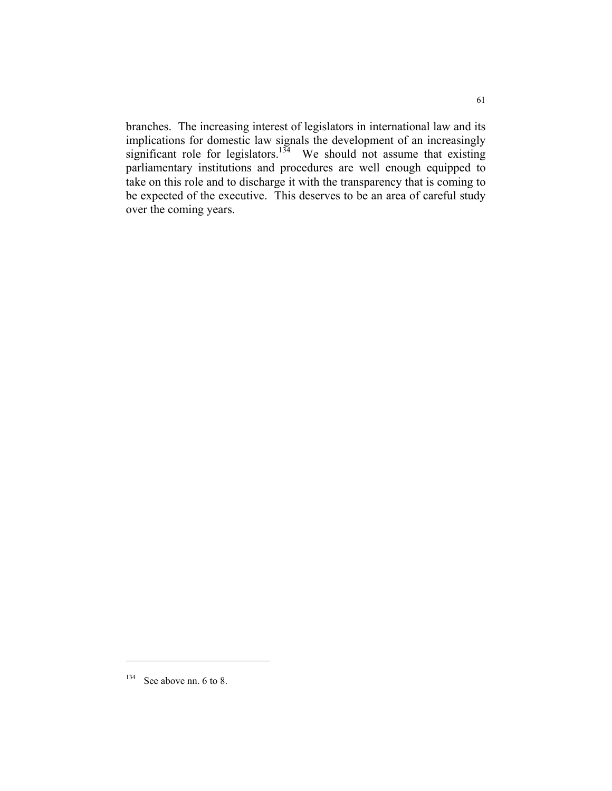branches. The increasing interest of legislators in international law and its implications for domestic law signals the development of an increasingly significant role for legislators.<sup>134</sup> We should not assume that existing parliamentary institutions and procedures are well enough equipped to take on this role and to discharge it with the transparency that is coming to be expected of the executive. This deserves to be an area of careful study over the coming years.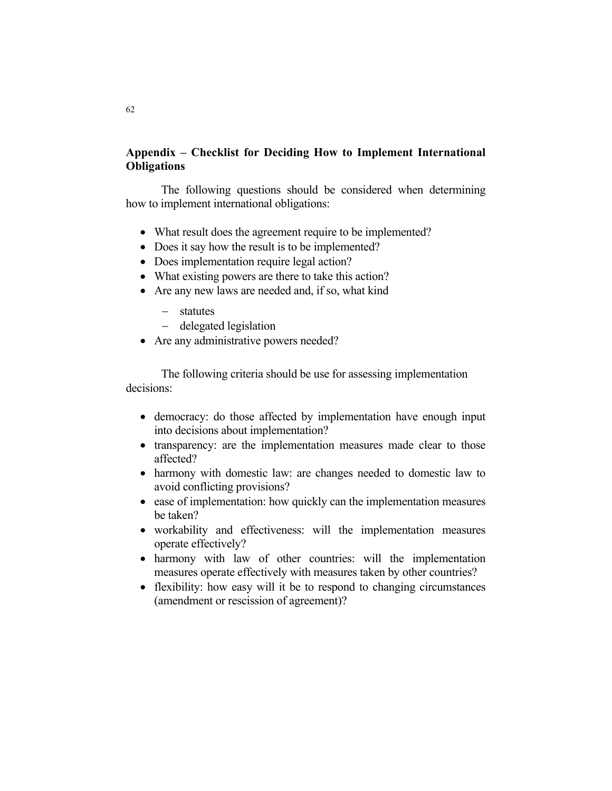# **Appendix – Checklist for Deciding How to Implement International Obligations**

 The following questions should be considered when determining how to implement international obligations:

- What result does the agreement require to be implemented?
- Does it say how the result is to be implemented?
- Does implementation require legal action?
- What existing powers are there to take this action?
- Are any new laws are needed and, if so, what kind
	- − statutes
	- − delegated legislation
- Are any administrative powers needed?

 The following criteria should be use for assessing implementation decisions:

- democracy: do those affected by implementation have enough input into decisions about implementation?
- transparency: are the implementation measures made clear to those affected?
- harmony with domestic law: are changes needed to domestic law to avoid conflicting provisions?
- ease of implementation: how quickly can the implementation measures be taken?
- workability and effectiveness: will the implementation measures operate effectively?
- harmony with law of other countries: will the implementation measures operate effectively with measures taken by other countries?
- flexibility: how easy will it be to respond to changing circumstances (amendment or rescission of agreement)?